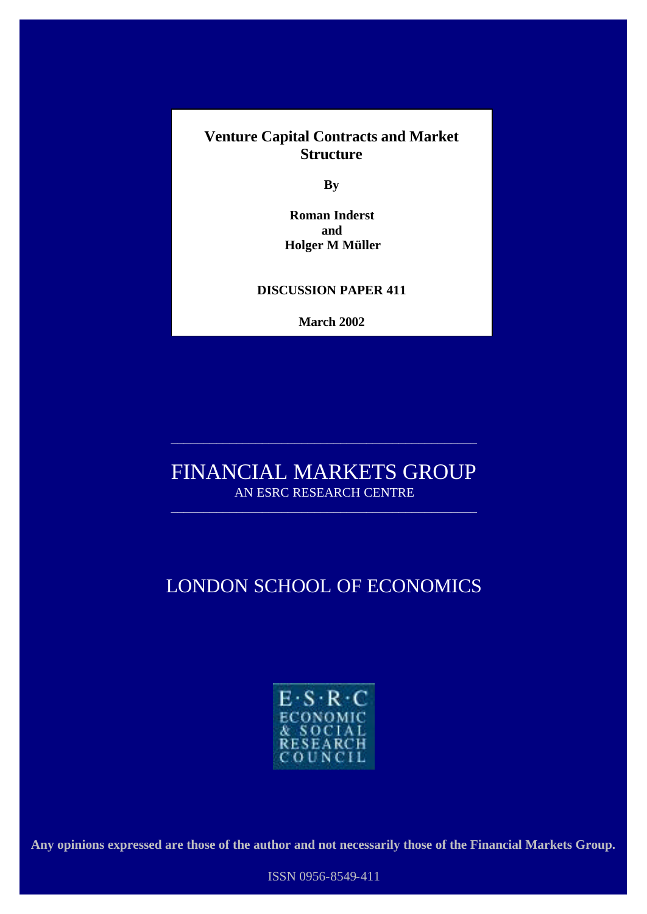**Venture Capital Contracts and Market Structure**

**By**

**Roman Inderst and Holger M Müller**

### **DISCUSSION PAPER 411**

**March 2002**

# FINANCIAL MARKETS GROUP AN ESRC RESEARCH CENTRE

\_\_\_\_\_\_\_\_\_\_\_\_\_\_\_\_\_\_\_\_\_\_\_\_\_\_\_\_\_\_\_\_\_\_\_\_\_\_\_\_\_\_\_\_\_\_\_

\_\_\_\_\_\_\_\_\_\_\_\_\_\_\_\_\_\_\_\_\_\_\_\_\_\_\_\_\_\_\_\_\_\_\_\_\_\_\_\_\_\_\_\_\_\_\_

# LONDON SCHOOL OF ECONOMICS



**Any opinions expressed are those of the author and not necessarily those of the Financial Markets Group.**

ISSN 0956-8549-411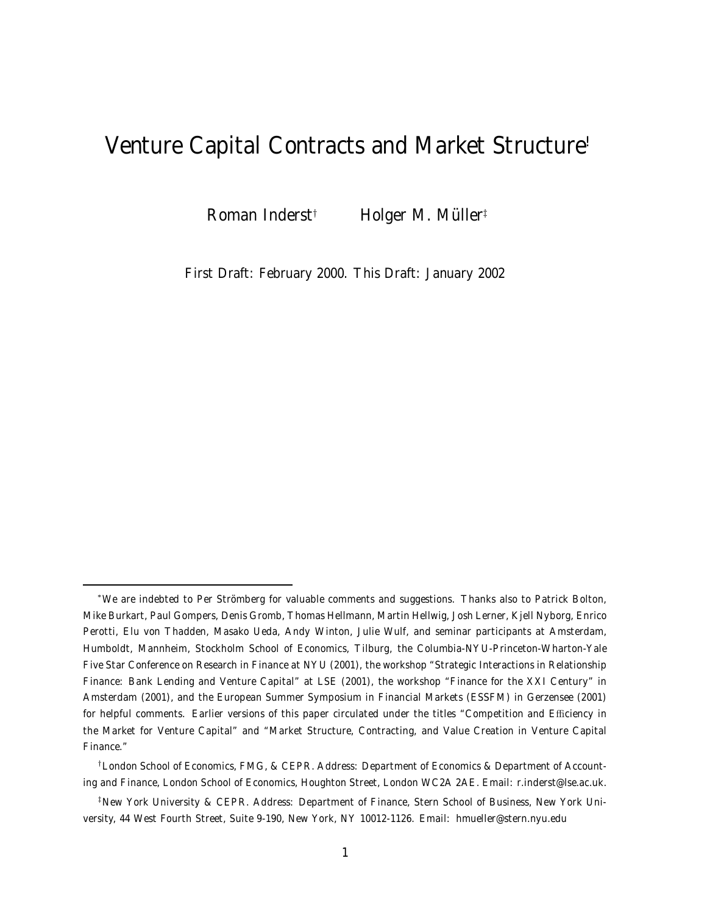# Venture Capital Contracts and Market Structure<sup>≀</sup>

Roman Inderst† Holger M. Müller‡

First Draft: February 2000. This Draft: January 2002

<sup>∗</sup>We are indebted to Per Strömberg for valuable comments and suggestions. Thanks also to Patrick Bolton, Mike Burkart, Paul Gompers, Denis Gromb, Thomas Hellmann, Martin Hellwig, Josh Lerner, Kjell Nyborg, Enrico Perotti, Elu von Thadden, Masako Ueda, Andy Winton, Julie Wulf, and seminar participants at Amsterdam, Humboldt, Mannheim, Stockholm School of Economics, Tilburg, the Columbia-NYU-Princeton-Wharton-Yale Five Star Conference on Research in Finance at NYU (2001), the workshop "Strategic Interactions in Relationship Finance: Bank Lending and Venture Capital" at LSE (2001), the workshop "Finance for the XXI Century" in Amsterdam (2001), and the European Summer Symposium in Financial Markets (ESSFM) in Gerzensee (2001) for helpful comments. Earlier versions of this paper circulated under the titles "Competition and Efficiency in the Market for Venture Capital" and "Market Structure, Contracting, and Value Creation in Venture Capital Finance."

<sup>†</sup>London School of Economics, FMG, & CEPR. Address: Department of Economics & Department of Accounting and Finance, London School of Economics, Houghton Street, London WC2A 2AE. Email: r.inderst@lse.ac.uk.

<sup>‡</sup>New York University & CEPR. Address: Department of Finance, Stern School of Business, New York University, 44 West Fourth Street, Suite 9-190, New York, NY 10012-1126. Email: hmueller@stern.nyu.edu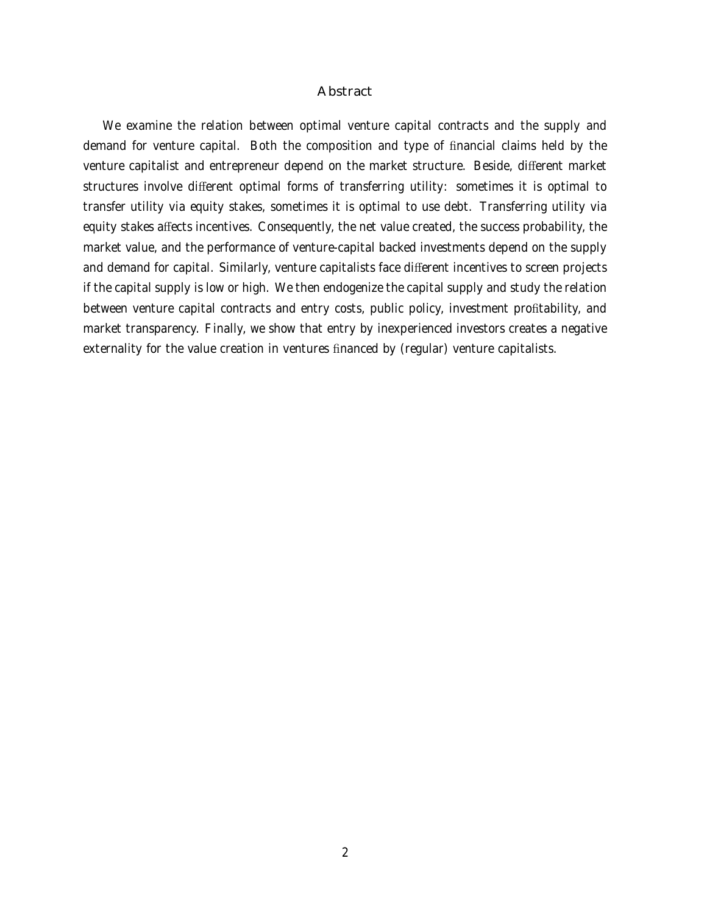### Abstract

We examine the relation between optimal venture capital contracts and the supply and demand for venture capital. Both the composition and type of financial claims held by the venture capitalist and entrepreneur depend on the market structure. Beside, different market structures involve different optimal forms of transferring utility: sometimes it is optimal to transfer utility via equity stakes, sometimes it is optimal to use debt. Transferring utility via equity stakes affects incentives. Consequently, the net value created, the success probability, the market value, and the performance of venture-capital backed investments depend on the supply and demand for capital. Similarly, venture capitalists face different incentives to screen projects if the capital supply is low or high. We then endogenize the capital supply and study the relation between venture capital contracts and entry costs, public policy, investment profitability, and market transparency. Finally, we show that entry by inexperienced investors creates a negative externality for the value creation in ventures financed by (regular) venture capitalists.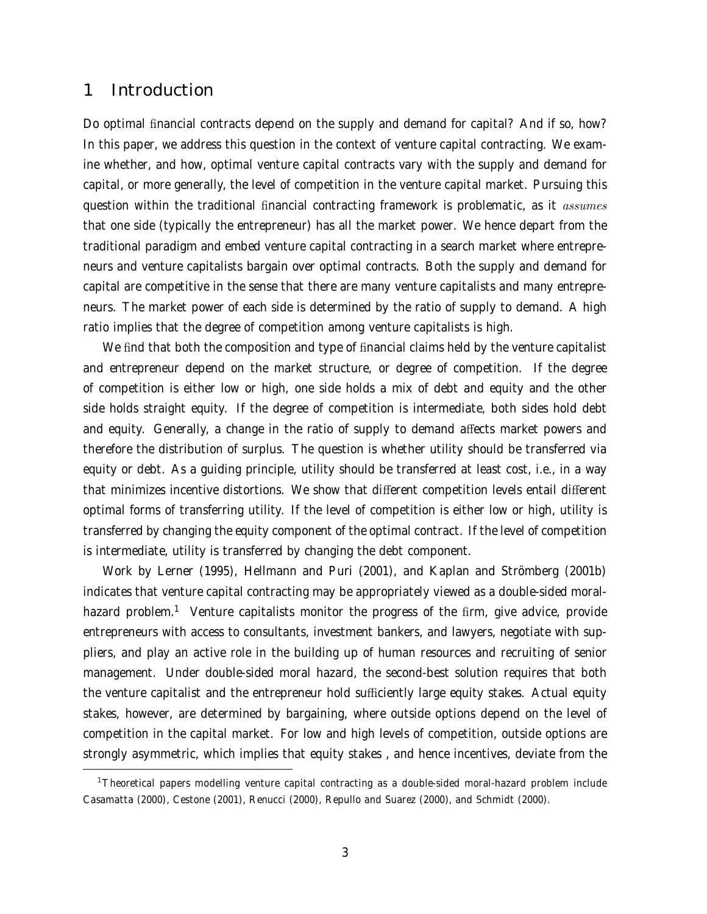## 1 Introduction

Do optimal financial contracts depend on the supply and demand for capital? And if so, how? In this paper, we address this question in the context of venture capital contracting. We examine whether, and how, optimal venture capital contracts vary with the supply and demand for capital, or more generally, the level of competition in the venture capital market. Pursuing this question within the traditional financial contracting framework is problematic, as it *assumes* that one side (typically the entrepreneur) has all the market power. We hence depart from the traditional paradigm and embed venture capital contracting in a search market where entrepreneurs and venture capitalists bargain over optimal contracts. Both the supply and demand for capital are competitive in the sense that there are many venture capitalists and many entrepreneurs. The market power of each side is determined by the ratio of supply to demand. A high ratio implies that the degree of competition among venture capitalists is high.

We find that both the composition and type of financial claims held by the venture capitalist and entrepreneur depend on the market structure, or degree of competition. If the degree of competition is either low or high, one side holds a mix of debt and equity and the other side holds straight equity. If the degree of competition is intermediate, both sides hold debt and equity. Generally, a change in the ratio of supply to demand affects market powers and therefore the distribution of surplus. The question is whether utility should be transferred via equity or debt. As a guiding principle, utility should be transferred at least cost, i.e., in a way that minimizes incentive distortions. We show that different competition levels entail different optimal forms of transferring utility. If the level of competition is either low or high, utility is transferred by changing the equity component of the optimal contract. If the level of competition is intermediate, utility is transferred by changing the debt component.

Work by Lerner (1995), Hellmann and Puri (2001), and Kaplan and Strömberg (2001b) indicates that venture capital contracting may be appropriately viewed as a double-sided moralhazard problem.<sup>1</sup> Venture capitalists monitor the progress of the firm, give advice, provide entrepreneurs with access to consultants, investment bankers, and lawyers, negotiate with suppliers, and play an active role in the building up of human resources and recruiting of senior management. Under double-sided moral hazard, the second-best solution requires that both the venture capitalist and the entrepreneur hold sufficiently large equity stakes. Actual equity stakes, however, are determined by bargaining, where outside options depend on the level of competition in the capital market. For low and high levels of competition, outside options are strongly asymmetric, which implies that equity stakes , and hence incentives, deviate from the

<sup>1</sup>Theoretical papers modelling venture capital contracting as a double-sided moral-hazard problem include Casamatta (2000), Cestone (2001), Renucci (2000), Repullo and Suarez (2000), and Schmidt (2000).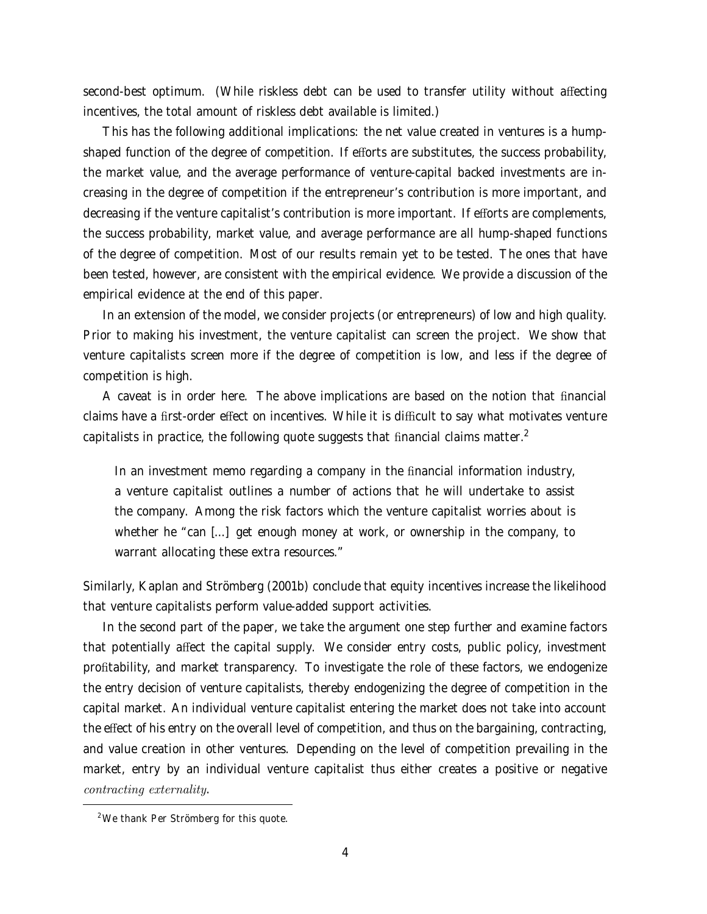second-best optimum. (While riskless debt can be used to transfer utility without affecting incentives, the total amount of riskless debt available is limited.)

This has the following additional implications: the net value created in ventures is a humpshaped function of the degree of competition. If efforts are substitutes, the success probability, the market value, and the average performance of venture-capital backed investments are increasing in the degree of competition if the entrepreneur's contribution is more important, and decreasing if the venture capitalist's contribution is more important. If efforts are complements, the success probability, market value, and average performance are all hump-shaped functions of the degree of competition. Most of our results remain yet to be tested. The ones that have been tested, however, are consistent with the empirical evidence. We provide a discussion of the empirical evidence at the end of this paper.

In an extension of the model, we consider projects (or entrepreneurs) of low and high quality. Prior to making his investment, the venture capitalist can screen the project. We show that venture capitalists screen more if the degree of competition is low, and less if the degree of competition is high.

A caveat is in order here. The above implications are based on the notion that financial claims have a first-order effect on incentives. While it is difficult to say what motivates venture capitalists in practice, the following quote suggests that financial claims matter. $2$ 

In an investment memo regarding a company in the financial information industry, a venture capitalist outlines a number of actions that he will undertake to assist the company. Among the risk factors which the venture capitalist worries about is whether he "can [...] get enough money at work, or ownership in the company, to warrant allocating these extra resources."

Similarly, Kaplan and Strömberg (2001b) conclude that equity incentives increase the likelihood that venture capitalists perform value-added support activities.

In the second part of the paper, we take the argument one step further and examine factors that potentially affect the capital supply. We consider entry costs, public policy, investment profitability, and market transparency. To investigate the role of these factors, we endogenize the entry decision of venture capitalists, thereby endogenizing the degree of competition in the capital market. An individual venture capitalist entering the market does not take into account the effect of his entry on the overall level of competition, and thus on the bargaining, contracting, and value creation in other ventures. Depending on the level of competition prevailing in the market, entry by an individual venture capitalist thus either creates a positive or negative contracting externality.

<sup>&</sup>lt;sup>2</sup>We thank Per Strömberg for this quote.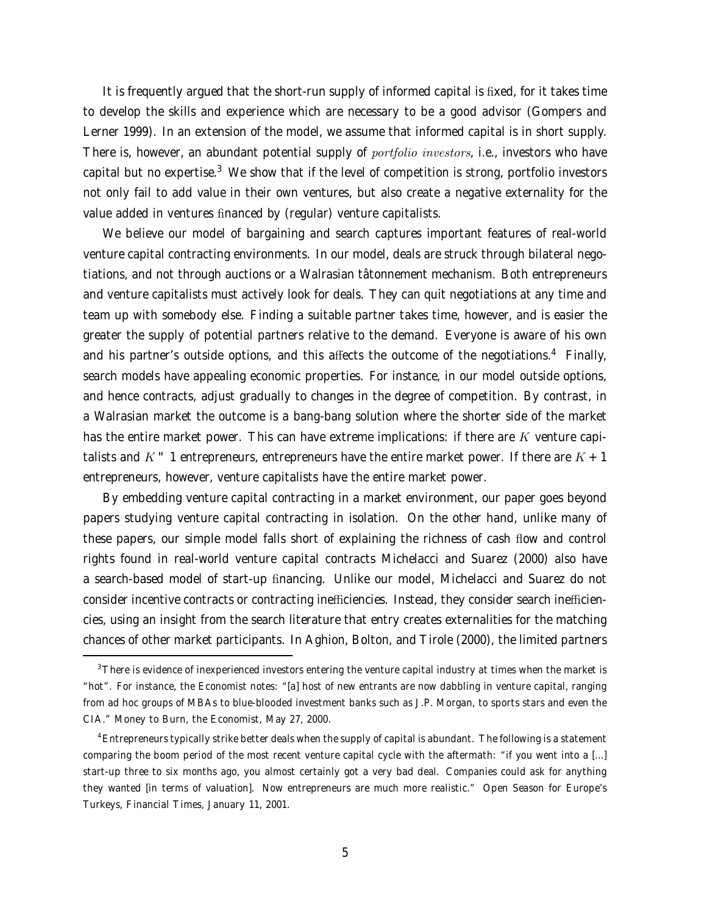It is frequently argued that the short-run supply of informed capital is fixed, for it takes time to develop the skills and experience which are necessary to be a good advisor (Gompers and Lerner 1999). In an extension of the model, we assume that informed capital is in short supply. There is, however, an abundant potential supply of *portfolio investors*, i.e., investors who have capital but no expertise.<sup>3</sup> We show that if the level of competition is strong, portfolio investors not only fail to add value in their own ventures, but also create a negative externality for the value added in ventures financed by (regular) venture capitalists.

We believe our model of bargaining and search captures important features of real-world venture capital contracting environments. In our model, deals are struck through bilateral negotiations, and not through auctions or a Walrasian tâtonnement mechanism. Both entrepreneurs and venture capitalists must actively look for deals. They can quit negotiations at any time and team up with somebody else. Finding a suitable partner takes time, however, and is easier the greater the supply of potential partners relative to the demand. Everyone is aware of his own and his partner's outside options, and this affects the outcome of the negotiations.<sup>4</sup> Finally, search models have appealing economic properties. For instance, in our model outside options, and hence contracts, adjust gradually to changes in the degree of competition. By contrast, in a Walrasian market the outcome is a bang-bang solution where the shorter side of the market has the entire market power. This can have extreme implications: if there are  $K$  venture capitalists and K  $-$  1 entrepreneurs, entrepreneurs have the entire market power. If there are  $K + 1$ entrepreneurs, however, venture capitalists have the entire market power.

By embedding venture capital contracting in a market environment, our paper goes beyond papers studying venture capital contracting in isolation. On the other hand, unlike many of these papers, our simple model falls short of explaining the richness of cash flow and control rights found in real-world venture capital contracts Michelacci and Suarez (2000) also have a search-based model of start-up financing. Unlike our model, Michelacci and Suarez do not consider incentive contracts or contracting inefficiencies. Instead, they consider search inefficiencies, using an insight from the search literature that entry creates externalities for the matching chances of other market participants. In Aghion, Bolton, and Tirole (2000), the limited partners

<sup>&</sup>lt;sup>3</sup>There is evidence of inexperienced investors entering the venture capital industry at times when the market is "hot". For instance, the Economist notes: "[a] host of new entrants are now dabbling in venture capital, ranging from ad hoc groups of MBAs to blue-blooded investment banks such as J.P. Morgan, to sports stars and even the CIA." Money to Burn, the Economist, May 27, 2000.

<sup>4</sup>Entrepreneurs typically strike better deals when the supply of capital is abundant. The following is a statement comparing the boom period of the most recent venture capital cycle with the aftermath: "if you went into a [...] start-up three to six months ago, you almost certainly got a very bad deal. Companies could ask for anything they wanted [in terms of valuation]. Now entrepreneurs are much more realistic." Open Season for Europe's Turkeys, Financial Times, January 11, 2001.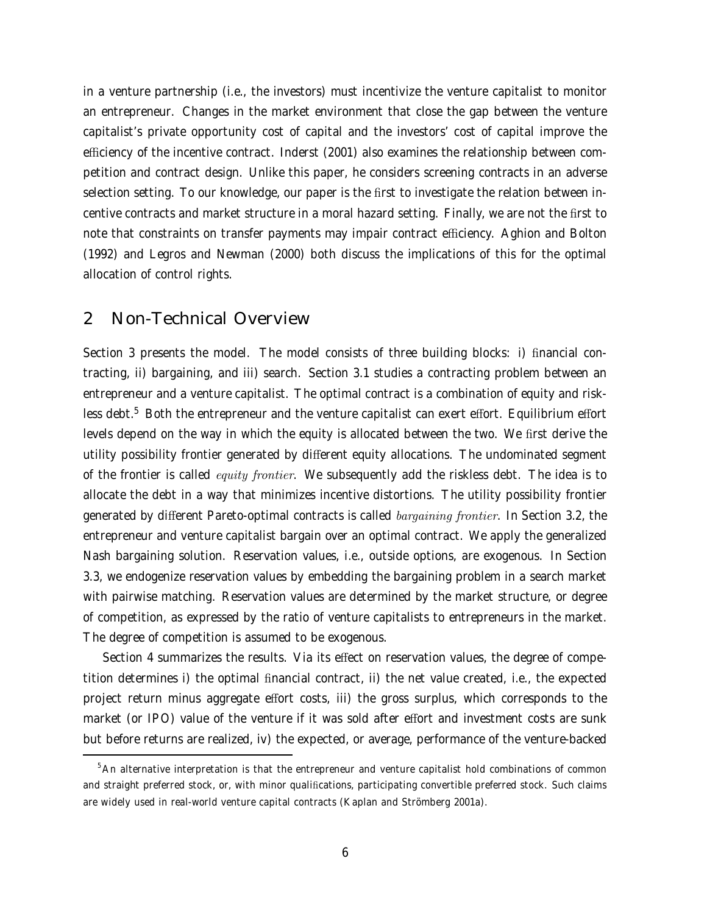in a venture partnership (i.e., the investors) must incentivize the venture capitalist to monitor an entrepreneur. Changes in the market environment that close the gap between the venture capitalist's private opportunity cost of capital and the investors' cost of capital improve the efficiency of the incentive contract. Inderst (2001) also examines the relationship between competition and contract design. Unlike this paper, he considers screening contracts in an adverse selection setting. To our knowledge, our paper is the first to investigate the relation between incentive contracts and market structure in a moral hazard setting. Finally, we are not the first to note that constraints on transfer payments may impair contract efficiency. Aghion and Bolton (1992) and Legros and Newman (2000) both discuss the implications of this for the optimal allocation of control rights.

## 2 Non-Technical Overview

Section 3 presents the model. The model consists of three building blocks: i) financial contracting, ii) bargaining, and iii) search. Section 3.1 studies a contracting problem between an entrepreneur and a venture capitalist. The optimal contract is a combination of equity and riskless debt.<sup>5</sup> Both the entrepreneur and the venture capitalist can exert effort. Equilibrium effort levels depend on the way in which the equity is allocated between the two. We first derive the utility possibility frontier generated by different equity allocations. The undominated segment of the frontier is called *equity frontier*. We subsequently add the riskless debt. The idea is to allocate the debt in a way that minimizes incentive distortions. The utility possibility frontier generated by different Pareto-optimal contracts is called *bargaining frontier*. In Section 3.2, the entrepreneur and venture capitalist bargain over an optimal contract. We apply the generalized Nash bargaining solution. Reservation values, i.e., outside options, are exogenous. In Section 3.3, we endogenize reservation values by embedding the bargaining problem in a search market with pairwise matching. Reservation values are determined by the market structure, or degree of competition, as expressed by the ratio of venture capitalists to entrepreneurs in the market. The degree of competition is assumed to be exogenous.

Section 4 summarizes the results. Via its effect on reservation values, the degree of competition determines i) the optimal financial contract, ii) the net value created, i.e., the expected project return minus aggregate effort costs, iii) the gross surplus, which corresponds to the market (or IPO) value of the venture if it was sold after effort and investment costs are sunk but before returns are realized, iv) the expected, or average, performance of the venture-backed

<sup>&</sup>lt;sup>5</sup>An alternative interpretation is that the entrepreneur and venture capitalist hold combinations of common and straight preferred stock, or, with minor qualifications, participating convertible preferred stock. Such claims are widely used in real-world venture capital contracts (Kaplan and Strömberg 2001a).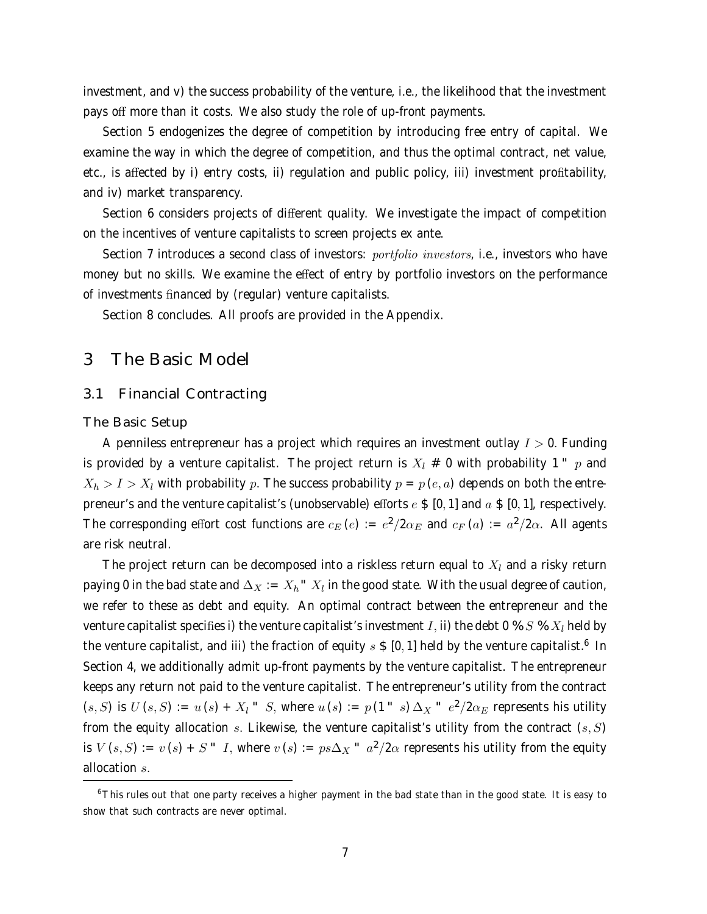investment, and v) the success probability of the venture, i.e., the likelihood that the investment pays off more than it costs. We also study the role of up-front payments.

Section 5 endogenizes the degree of competition by introducing free entry of capital. We examine the way in which the degree of competition, and thus the optimal contract, net value, etc., is affected by i) entry costs, ii) regulation and public policy, iii) investment profitability, and iv) market transparency.

Section 6 considers projects of different quality. We investigate the impact of competition on the incentives of venture capitalists to screen projects ex ante.

Section 7 introduces a second class of investors: *portfolio investors*, i.e., investors who have money but no skills. We examine the effect of entry by portfolio investors on the performance of investments financed by (regular) venture capitalists.

Section 8 concludes. All proofs are provided in the Appendix.

### 3 The Basic Model

### 3.1 Financial Contracting

The Basic Setup

A penniless entrepreneur has a project which requires an investment outlay  $I > 0$ . Funding is provided by a venture capitalist. The project return is  $X_l \neq 0$  with probability 1  $\vert p \rangle$  and  $X_h > I > X_l$  with probability p. The success probability  $p = p(e, a)$  depends on both the entrepreneur's and the venture capitalist's (unobservable) efforts  $e \$  [0, 1] and  $a \$  [0, 1], respectively. The corresponding effort cost functions are  $c_E(e) := e^2/2\alpha_E$  and  $c_F(a) := a^2/2\alpha$ . All agents are risk neutral.

The project return can be decomposed into a riskless return equal to  $X_l$  and a risky return paying 0 in the bad state and  $\Delta_X := X_h^* X_l$  in the good state. With the usual degree of caution, we refer to these as debt and equity. An optimal contract between the entrepreneur and the venture capitalist specifies i) the venture capitalist's investment I, ii) the debt 0 %  $S$  %  $X_l$  held by the venture capitalist, and iii) the fraction of equity  $s \$$  [0, 1] held by the venture capitalist.<sup>6</sup> In Section 4, we additionally admit up-front payments by the venture capitalist. The entrepreneur keeps any return not paid to the venture capitalist. The entrepreneur's utility from the contract  $(s, S)$  is  $U(s, S) := u(s) + X_l$   $S$ , where  $u(s) := p(1 - s) \Delta_X + e^2/2\alpha_E$  represents his utility from the equity allocation s. Likewise, the venture capitalist's utility from the contract  $(s, S)$ is  $V(s, S) := v(s) + S'' I$ , where  $v(s) := ps\Delta_X'' a^2/2\alpha$  represents his utility from the equity allocation s.

<sup>6</sup>This rules out that one party receives a higher payment in the bad state than in the good state. It is easy to show that such contracts are never optimal.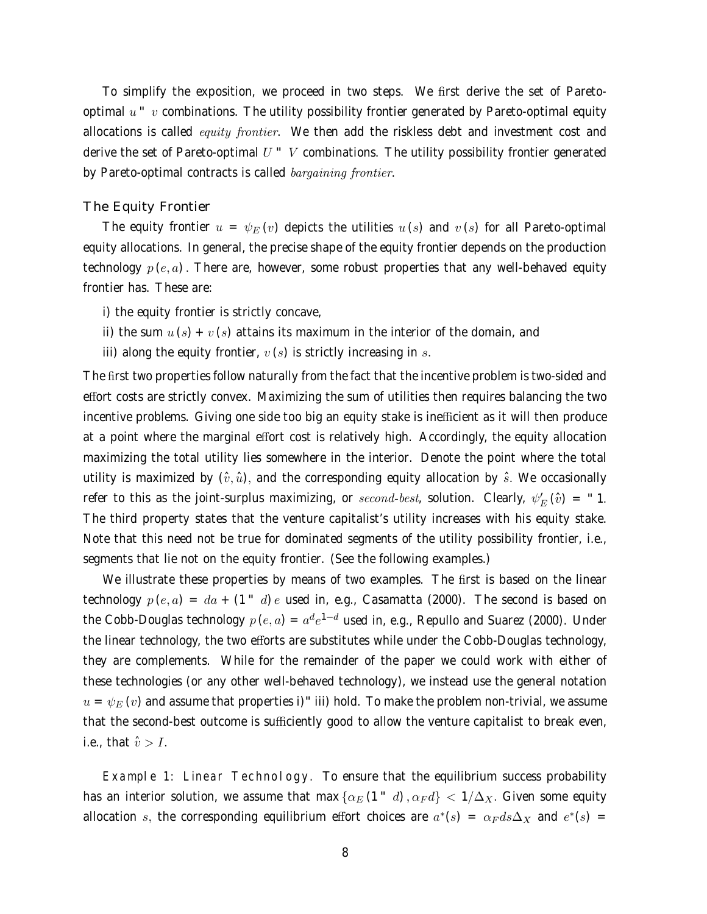To simplify the exposition, we proceed in two steps. We first derive the set of Paretooptimal  $u - v$  combinations. The utility possibility frontier generated by Pareto-optimal equity allocations is called *equity frontier*. We then add the riskless debt and investment cost and derive the set of Pareto-optimal  $U'$  V combinations. The utility possibility frontier generated by Pareto-optimal contracts is called *bargaining frontier*.

#### The Equity Frontier

The equity frontier  $u = \psi_E(v)$  depicts the utilities  $u(s)$  and  $v(s)$  for all Pareto-optimal equity allocations. In general, the precise shape of the equity frontier depends on the production technology  $p(e, a)$ . There are, however, some robust properties that any well-behaved equity frontier has. These are:

- i) the equity frontier is strictly concave,
- ii) the sum  $u(s) + v(s)$  attains its maximum in the interior of the domain, and
- iii) along the equity frontier,  $v(s)$  is strictly increasing in s.

The first two properties follow naturally from the fact that the incentive problem is two-sided and effort costs are strictly convex. Maximizing the sum of utilities then requires balancing the two incentive problems. Giving one side too big an equity stake is inefficient as it will then produce at a point where the marginal effort cost is relatively high. Accordingly, the equity allocation maximizing the total utility lies somewhere in the interior. Denote the point where the total utility is maximized by  $(\hat{v}, \hat{u})$ , and the corresponding equity allocation by  $\hat{s}$ . We occasionally refer to this as the joint-surplus maximizing, or  $second-best$ , solution. Clearly,  $\psi_E' \left( \hat{v} \right)$  = " 1. The third property states that the venture capitalist's utility increases with his equity stake. Note that this need not be true for dominated segments of the utility possibility frontier, i.e., segments that lie not on the equity frontier. (See the following examples.)

We illustrate these properties by means of two examples. The first is based on the linear technology  $p(e, a) = da + (1 - d)e$  used in, e.g., Casamatta (2000). The second is based on the Cobb-Douglas technology  $p(e, a) = a^d e^{1-d}$  used in, e.g., Repullo and Suarez (2000). Under the linear technology, the two efforts are substitutes while under the Cobb-Douglas technology, they are complements. While for the remainder of the paper we could work with either of these technologies (or any other well-behaved technology), we instead use the general notation  $u = \psi_E(v)$  and assume that properties i)<sup>-</sup>iii) hold. To make the problem non-trivial, we assume that the second-best outcome is sufficiently good to allow the venture capitalist to break even, i.e., that  $\hat{v} > I$ .

Example 1: Linear Technology. To ensure that the equilibrium success probability has an interior solution, we assume that max  $\{\alpha_E(1 - d), \alpha_F d\} < 1/\Delta_X$ . Given some equity allocation s, the corresponding equilibrium effort choices are  $a^*(s) = \alpha_F ds \Delta_X$  and  $e^*(s) =$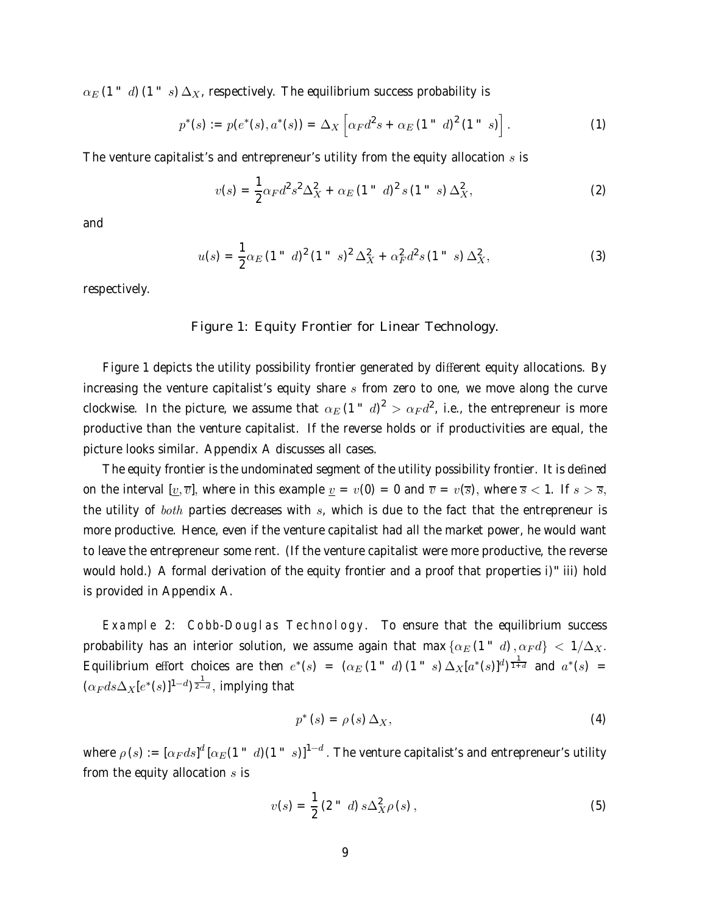$\alpha_E$  (1  $-d$ ) (1  $-s$ )  $\Delta_{X}$ , respectively. The equilibrium success probability is

$$
p^*(s) := p(e^*(s), a^*(s)) = \Delta_X \left[ \alpha_F d^2 s + \alpha_E (1 \text{ }^{\prime\prime} \text{ } d)^2 (1 \text{ }^{\prime\prime} \text{ } s) \right]. \tag{1}
$$

The venture capitalist's and entrepreneur's utility from the equity allocation  $s$  is

$$
v(s) = \frac{1}{2}\alpha_F d^2 s^2 \Delta_X^2 + \alpha_E (1 \text{''} d)^2 s (1 \text{''} s) \Delta_X^2, \tag{2}
$$

and

$$
u(s) = \frac{1}{2}\alpha_E (1 - d)^2 (1 - s)^2 \Delta_X^2 + \alpha_F^2 d^2 s (1 - s) \Delta_X^2, \tag{3}
$$

respectively.

### Figure 1: Equity Frontier for Linear Technology.

Figure 1 depicts the utility possibility frontier generated by different equity allocations. By increasing the venture capitalist's equity share  $s$  from zero to one, we move along the curve clockwise. In the picture, we assume that  $\alpha_E\,(1$  "  $\,d)^2>\alpha_F d^2$ , i.e., the entrepreneur is more productive than the venture capitalist. If the reverse holds or if productivities are equal, the picture looks similar. Appendix A discusses all cases.

The equity frontier is the undominated segment of the utility possibility frontier. It is defined on the interval  $[v, \overline{v}]$ , where in this example  $v = v(0) = 0$  and  $\overline{v} = v(\overline{s})$ , where  $\overline{s} < 1$ . If  $s > \overline{s}$ , the utility of both parties decreases with  $s$ , which is due to the fact that the entrepreneur is more productive. Hence, even if the venture capitalist had all the market power, he would want to leave the entrepreneur some rent. (If the venture capitalist were more productive, the reverse would hold.) A formal derivation of the equity frontier and a proof that properties i)<sup>"</sup> iii) hold is provided in Appendix A.

Example 2: Cobb-Douglas Technology. To ensure that the equilibrium success probability has an interior solution, we assume again that max  $\{\alpha_E(1 - d), \alpha_F d\} < 1/\Delta_X$ . Equilibrium effort choices are then  $e^*(s) = (\alpha_E (1 - d) (1 - s) \Delta_X [a^*(s)]^d)^{\frac{1}{1+d}}$  and  $a^*(s) =$  $(\alpha_F ds \Delta_X [e^*(s)]^{1-d})^{\frac{1}{2-d}},$  implying that

$$
p^*(s) = \rho(s) \Delta_X,\tag{4}
$$

where  $\rho\left(s\right):=\left[\alpha_F ds\right]^d\left[\alpha_E(1\text{ }^\circ\text{ }d)(1\text{ }^\circ\text{ }s)\right]^{1-d}.$  The venture capitalist's and entrepreneur's utility from the equity allocation  $s$  is

$$
v(s) = \frac{1}{2} (2 \text{`` } d) s \Delta_{X}^{2} \rho(s) , \qquad (5)
$$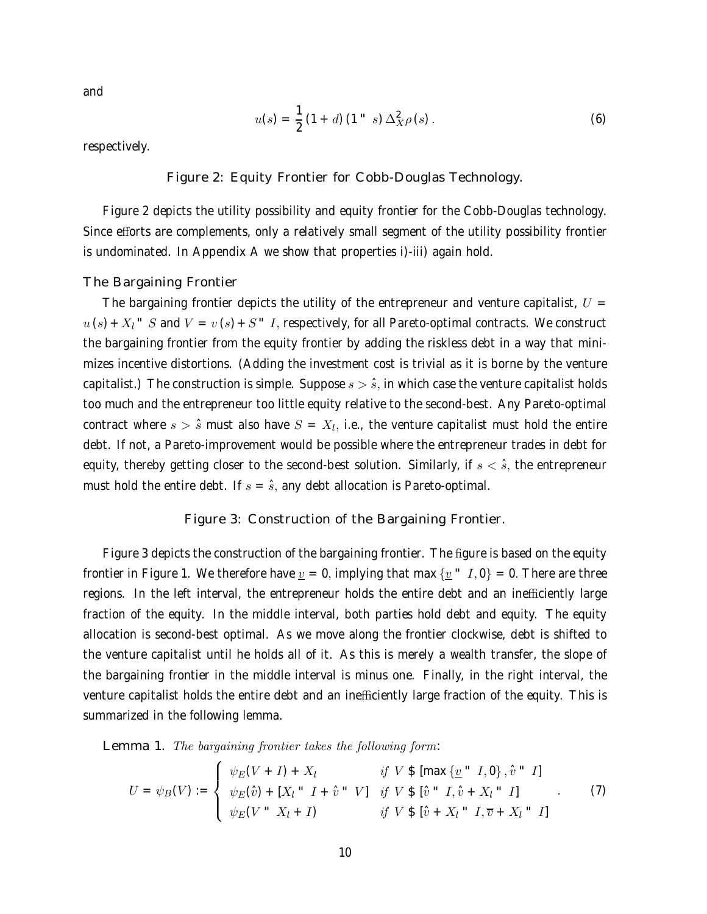and

$$
u(s) = \frac{1}{2} (1 + d) (1'' - s) \Delta_X^2 \rho(s).
$$
 (6)

respectively.

Figure 2: Equity Frontier for Cobb-Douglas Technology.

Figure 2 depicts the utility possibility and equity frontier for the Cobb-Douglas technology. Since efforts are complements, only a relatively small segment of the utility possibility frontier is undominated. In Appendix A we show that properties i)-iii) again hold.

The Bargaining Frontier

The bargaining frontier depicts the utility of the entrepreneur and venture capitalist,  $U =$  $u(s) + X_1$   $S$  and  $V = v(s) + S$   $I$ , respectively, for all Pareto-optimal contracts. We construct the bargaining frontier from the equity frontier by adding the riskless debt in a way that minimizes incentive distortions. (Adding the investment cost is trivial as it is borne by the venture capitalist.) The construction is simple. Suppose  $s > \hat{s}$ , in which case the venture capitalist holds too much and the entrepreneur too little equity relative to the second-best. Any Pareto-optimal contract where  $s > \hat{s}$  must also have  $S = X_l$ , i.e., the venture capitalist must hold the entire debt. If not, a Pareto-improvement would be possible where the entrepreneur trades in debt for equity, thereby getting closer to the second-best solution. Similarly, if  $s < \hat{s}$ , the entrepreneur must hold the entire debt. If  $s = \hat{s}$ , any debt allocation is Pareto-optimal.

#### Figure 3: Construction of the Bargaining Frontier.

Figure 3 depicts the construction of the bargaining frontier. The figure is based on the equity frontier in Figure 1. We therefore have  $\underline{v} = 0$ , implying that max  $\{\underline{v} - I, 0\} = 0$ . There are three regions. In the left interval, the entrepreneur holds the entire debt and an inefficiently large fraction of the equity. In the middle interval, both parties hold debt and equity. The equity allocation is second-best optimal. As we move along the frontier clockwise, debt is shifted to the venture capitalist until he holds all of it. As this is merely a wealth transfer, the slope of the bargaining frontier in the middle interval is minus one. Finally, in the right interval, the venture capitalist holds the entire debt and an inefficiently large fraction of the equity. This is summarized in the following lemma.

Lemma 1. The bargaining frontier takes the following form:

$$
U = \psi_B(V) := \begin{cases} \psi_E(V+I) + X_l & \text{if } V \$ [max \{ \underline{v} \text{ } \text{ } ^n I, 0 \}, \hat{v} \text{ } ^n I] \\ \psi_E(\hat{v}) + [X_l \text{ } ^n I + \hat{v} \text{ } ^n V] & \text{if } V \$ [\hat{v} \text{ } ^n I, \hat{v} + X_l \text{ } ^n I] \\ \psi_E(V \text{ } ^n X_l + I) & \text{if } V \$ [\hat{v} + X_l \text{ } ^n I, \overline{v} + X_l \text{ } ^n I] \end{cases} \tag{7}
$$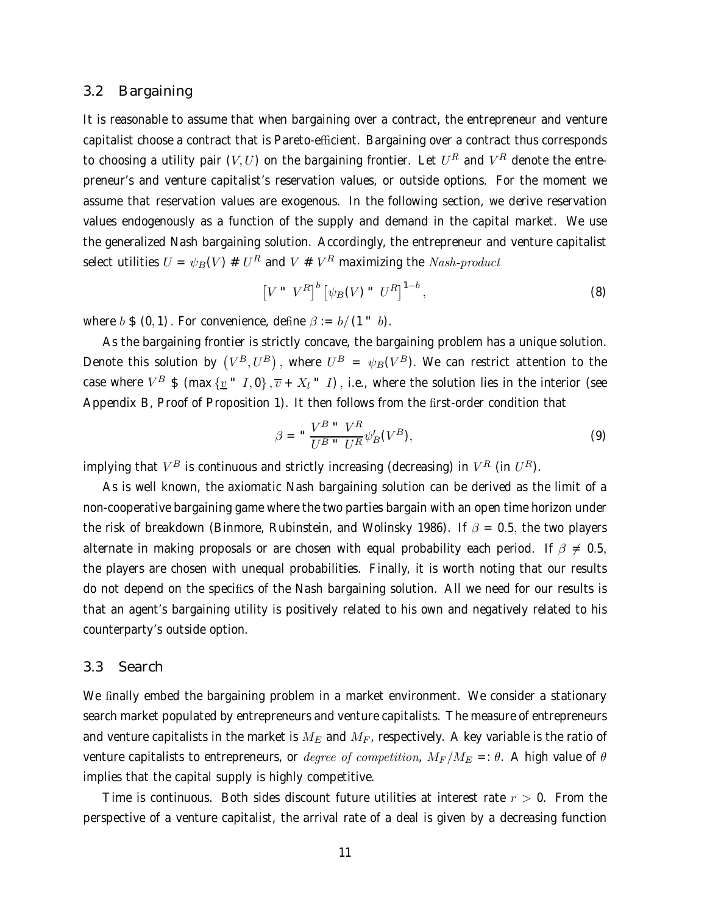### 3.2 Bargaining

It is reasonable to assume that when bargaining over a contract, the entrepreneur and venture capitalist choose a contract that is Pareto-efficient. Bargaining over a contract thus corresponds to choosing a utility pair  $(V, U)$  on the bargaining frontier. Let  $U^R$  and  $V^R$  denote the entrepreneur's and venture capitalist's reservation values, or outside options. For the moment we assume that reservation values are exogenous. In the following section, we derive reservation values endogenously as a function of the supply and demand in the capital market. We use the generalized Nash bargaining solution. Accordingly, the entrepreneur and venture capitalist select utilities  $U = \psi_B(V) \# U^R$  and  $V \# V^R$  maximizing the *Nash-product* 

$$
\left[V \quad W^R\right]^b \left[\psi_B(V) \quad U^R\right]^{1-b},\tag{8}
$$

where  $b \, \$ \, (0,1)$ . For convenience, define  $\beta := b/(1 - b)$ .

As the bargaining frontier is strictly concave, the bargaining problem has a unique solution. Denote this solution by  $(V^B,U^B)$ , where  $U^B = \psi_B(V^B)$ . We can restrict attention to the case where  $V^B$  \$ (max  $\{v^T, 0\}, \overline{v} + X_l^T, I\}$ , i.e., where the solution lies in the interior (see Appendix B, Proof of Proposition 1). It then follows from the first-order condition that

$$
\beta = \sqrt{\frac{V^B \cdot V^R}{U^B \cdot U^R}} \psi'_B(V^B),\tag{9}
$$

implying that  $V^B$  is continuous and strictly increasing (decreasing) in  $V^R$  (in  $U^R$ ).

As is well known, the axiomatic Nash bargaining solution can be derived as the limit of a non-cooperative bargaining game where the two parties bargain with an open time horizon under the risk of breakdown (Binmore, Rubinstein, and Wolinsky 1986). If  $\beta = 0.5$ , the two players alternate in making proposals or are chosen with equal probability each period. If  $\beta \neq 0.5$ , the players are chosen with unequal probabilities. Finally, it is worth noting that our results do not depend on the specifics of the Nash bargaining solution. All we need for our results is that an agent's bargaining utility is positively related to his own and negatively related to his counterparty's outside option.

### 3.3 Search

We finally embed the bargaining problem in a market environment. We consider a stationary search market populated by entrepreneurs and venture capitalists. The measure of entrepreneurs and venture capitalists in the market is  $M_E$  and  $M_F$ , respectively. A key variable is the ratio of venture capitalists to entrepreneurs, or *degree of competition*,  $M_F/M_E =: \theta$ . A high value of  $\theta$ implies that the capital supply is highly competitive.

Time is continuous. Both sides discount future utilities at interest rate  $r > 0$ . From the perspective of a venture capitalist, the arrival rate of a deal is given by a decreasing function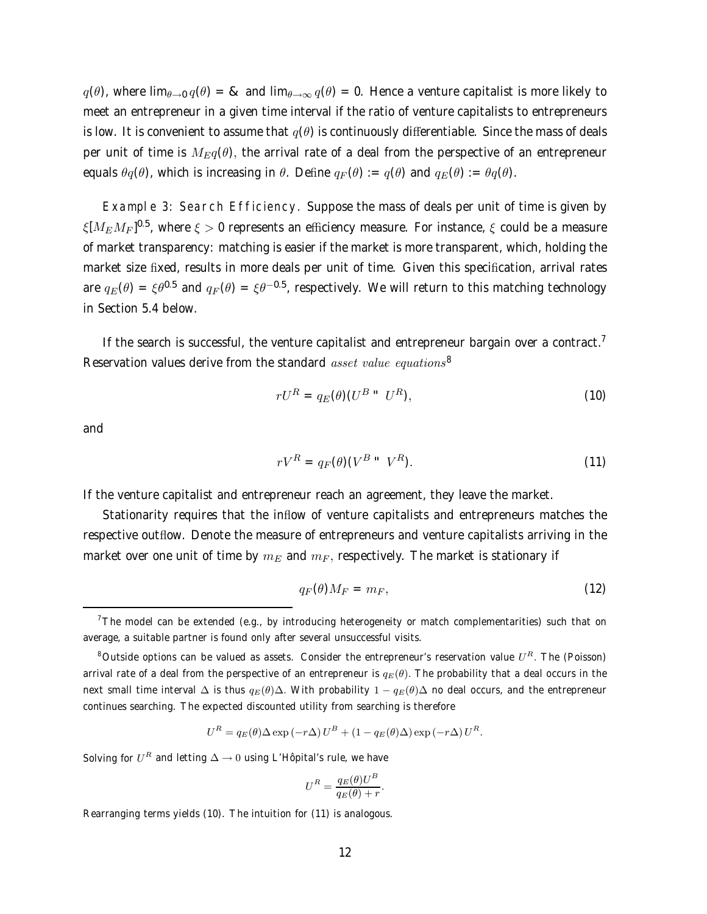$q(\theta)$ , where lim $_{\theta\to 0}$   $q(\theta) = 8$  and lim $_{\theta\to \infty}$   $q(\theta) = 0$ . Hence a venture capitalist is more likely to meet an entrepreneur in a given time interval if the ratio of venture capitalists to entrepreneurs is low. It is convenient to assume that  $q(\theta)$  is continuously differentiable. Since the mass of deals per unit of time is  $M_{Eq}(\theta)$ , the arrival rate of a deal from the perspective of an entrepreneur equals  $\theta_q(\theta)$ , which is increasing in  $\theta$ . Define  $q_F(\theta) := q(\theta)$  and  $q_F(\theta) := \theta_q(\theta)$ .

Example 3: Search Efficiency. Suppose the mass of deals per unit of time is given by  $\xi [M_E M_F]^{0.5}$ , where  $\xi > 0$  represents an efficiency measure. For instance,  $\xi$  could be a measure of market transparency: matching is easier if the market is more transparent, which, holding the market size fixed, results in more deals per unit of time. Given this specification, arrival rates are  $q_E(\theta) = \xi \theta^{0.5}$  and  $q_F(\theta) = \xi \theta^{-0.5}$ , respectively. We will return to this matching technology in Section 5.4 below.

If the search is successful, the venture capitalist and entrepreneur bargain over a contract.<sup>7</sup> Reservation values derive from the standard *asset value equations*<sup>8</sup>

$$
rU^R = q_E(\theta)(U^B \text{`` } U^R), \tag{10}
$$

and

$$
rV^R = q_F(\theta)(V^{B \text{ ii}} \ V^R). \tag{11}
$$

If the venture capitalist and entrepreneur reach an agreement, they leave the market.

Stationarity requires that the inflow of venture capitalists and entrepreneurs matches the respective outflow. Denote the measure of entrepreneurs and venture capitalists arriving in the market over one unit of time by  $m_E$  and  $m_F$ , respectively. The market is stationary if

$$
q_F(\theta)M_F = m_F,\t\t(12)
$$

$$
U^{R} = q_{E}(\theta) \Delta \exp(-r\Delta) U^{B} + (1 - q_{E}(\theta) \Delta) \exp(-r\Delta) U^{R}.
$$

Solving for  $U^R$  and letting  $\Delta \rightarrow 0$  using L'Hôpital's rule, we have

$$
U^R = \frac{q_E(\theta)U^B}{q_E(\theta) + r}.
$$

Rearranging terms yields (10). The intuition for (11) is analogous.

<sup>&</sup>lt;sup>7</sup>The model can be extended (e.g., by introducing heterogeneity or match complementarities) such that on average, a suitable partner is found only after several unsuccessful visits.

<sup>&</sup>lt;sup>8</sup>Outside options can be valued as assets. Consider the entrepreneur's reservation value  $U<sup>R</sup>$ . The (Poisson) arrival rate of a deal from the perspective of an entrepreneur is  $q_E(\theta)$ . The probability that a deal occurs in the next small time interval  $\Delta$  is thus  $q_E(\theta)\Delta$ . With probability  $1 - q_E(\theta)\Delta$  no deal occurs, and the entrepreneur continues searching. The expected discounted utility from searching is therefore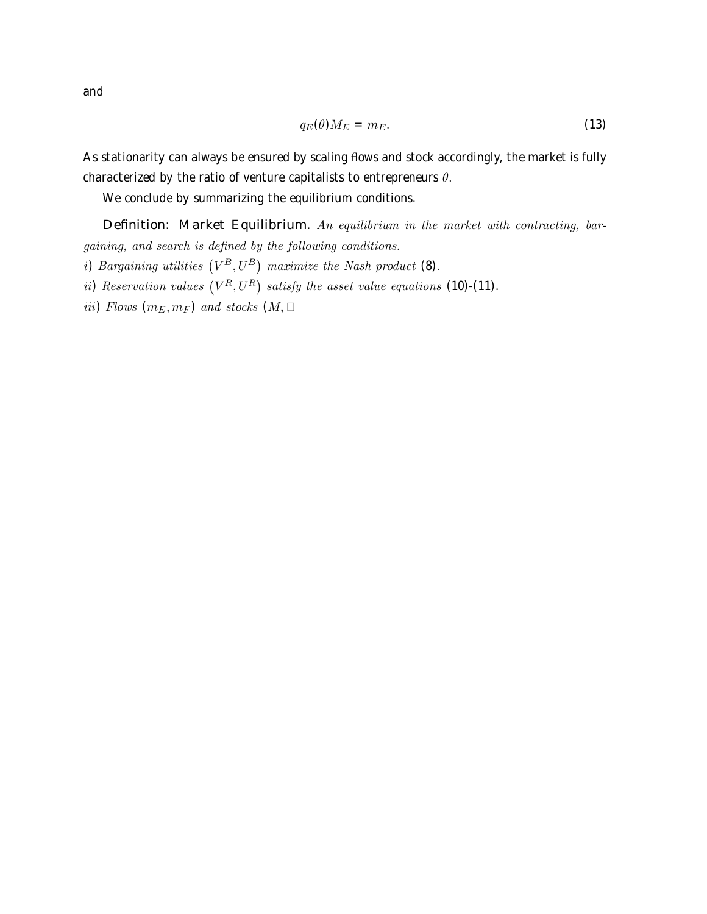and

$$
q_E(\theta)M_E = m_E. \tag{13}
$$

As stationarity can always be ensured by scaling flows and stock accordingly, the market is fully characterized by the ratio of venture capitalists to entrepreneurs  $\theta$ .

We conclude by summarizing the equilibrium conditions.

Definition: Market Equilibrium. An equilibrium in the market with contracting, bargaining, and search is defined by the following conditions. i) Bargaining utilities  $(V^B, U^B)$  maximize the Nash product (8). ii) Reservation values  $(V^R, U^R)$  satisfy the asset value equations (10)-(11).

iii) Flows  $(m_E, m_F)$  and stocks  $(M, m_F)$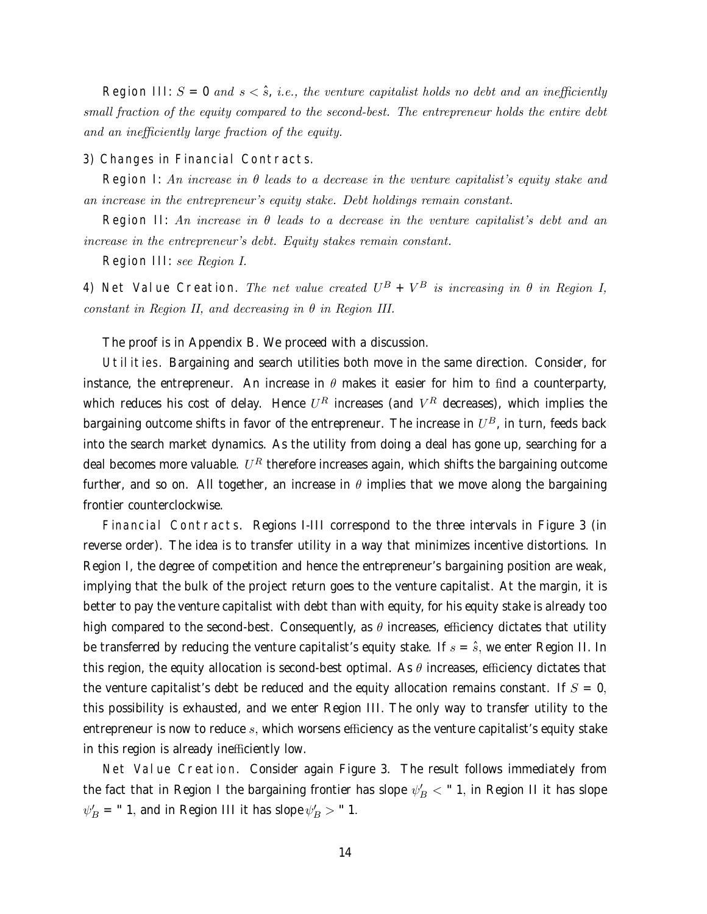Region III:  $S = 0$  and  $s < \hat{s}$ , i.e., the venture capitalist holds no debt and an inefficiently small fraction of the equity compared to the second-best. The entrepreneur holds the entire debt and an inefficiently large fraction of the equity.

#### 3) Changes in Financial Contracts.

Region I: An increase in  $\theta$  leads to a decrease in the venture capitalist's equity stake and an increase in the entrepreneur's equity stake. Debt holdings remain constant.

Region II: An increase in  $\theta$  leads to a decrease in the venture capitalist's debt and an increase in the entrepreneur's debt. Equity stakes remain constant.

Region III: see Region I.

4) Net Value Creation. The net value created  $U^B + V^B$  is increasing in  $\theta$  in Region I, constant in Region II, and decreasing in  $\theta$  in Region III.

The proof is in Appendix B. We proceed with a discussion.

Utilities. Bargaining and search utilities both move in the same direction. Consider, for instance, the entrepreneur. An increase in  $\theta$  makes it easier for him to find a counterparty, which reduces his cost of delay. Hence  $U^R$  increases (and  $V^R$  decreases), which implies the bargaining outcome shifts in favor of the entrepreneur. The increase in  $U^B$ , in turn, feeds back into the search market dynamics. As the utility from doing a deal has gone up, searching for a deal becomes more valuable.  $U^R$  therefore increases again, which shifts the bargaining outcome further, and so on. All together, an increase in  $\theta$  implies that we move along the bargaining frontier counterclockwise.

Financial Contracts. Regions I-III correspond to the three intervals in Figure 3 (in reverse order). The idea is to transfer utility in a way that minimizes incentive distortions. In Region I, the degree of competition and hence the entrepreneur's bargaining position are weak, implying that the bulk of the project return goes to the venture capitalist. At the margin, it is better to pay the venture capitalist with debt than with equity, for his equity stake is already too high compared to the second-best. Consequently, as  $\theta$  increases, efficiency dictates that utility be transferred by reducing the venture capitalist's equity stake. If  $s = \hat{s}$ , we enter Region II. In this region, the equity allocation is second-best optimal. As  $\theta$  increases, efficiency dictates that the venture capitalist's debt be reduced and the equity allocation remains constant. If  $S = 0$ , this possibility is exhausted, and we enter Region III. The only way to transfer utility to the entrepreneur is now to reduce  $s$ , which worsens efficiency as the venture capitalist's equity stake in this region is already inefficiently low.

Net Value Creation. Consider again Figure 3. The result follows immediately from the fact that in Region I the bargaining frontier has slope  $\psi_B' <$  " 1, in Region II it has slope  $\psi'_B$  = " 1, and in Region III it has slope  $\psi'_B$   $>$  " 1.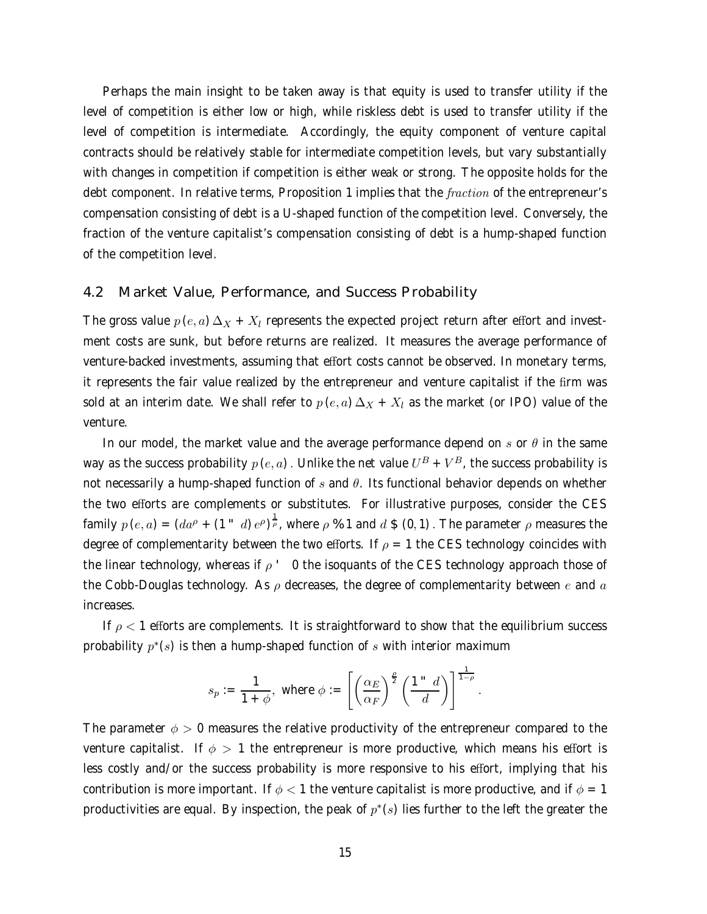Perhaps the main insight to be taken away is that equity is used to transfer utility if the level of competition is either low or high, while riskless debt is used to transfer utility if the level of competition is intermediate. Accordingly, the equity component of venture capital contracts should be relatively stable for intermediate competition levels, but vary substantially with changes in competition if competition is either weak or strong. The opposite holds for the debt component. In relative terms, Proposition 1 implies that the *fraction* of the entrepreneur's compensation consisting of debt is a U-shaped function of the competition level. Conversely, the fraction of the venture capitalist's compensation consisting of debt is a hump-shaped function of the competition level.

### 4.2 Market Value, Performance, and Success Probability

The gross value  $p(e, a) \Delta_X + X_l$  represents the expected project return after effort and investment costs are sunk, but before returns are realized. It measures the average performance of venture-backed investments, assuming that effort costs cannot be observed. In monetary terms, it represents the fair value realized by the entrepreneur and venture capitalist if the firm was sold at an interim date. We shall refer to  $p(e, a) \Delta_X + X_l$  as the market (or IPO) value of the venture.

In our model, the market value and the average performance depend on  $s$  or  $\theta$  in the same way as the success probability  $p(e, a)$ . Unlike the net value  $U^B + V^B$ , the success probability is not necessarily a hump-shaped function of s and  $\theta$ . Its functional behavior depends on whether the two efforts are complements or substitutes. For illustrative purposes, consider the CES family  $p(e, a) = (da^{\rho} + (1 - d)e^{\rho})^{\frac{1}{\rho}}$ , where  $\rho \%$  1 and  $d \$ (0, 1)$ . The parameter  $\rho$  measures thedegree of complementarity between the two efforts. If  $\rho = 1$  the CES technology coincides with the linear technology, whereas if  $\rho$   $\prime$  0 the isoquants of the CES technology approach those of the Cobb-Douglas technology. As  $\rho$  decreases, the degree of complementarity between e and a increases.

If  $\rho$  < 1 efforts are complements. It is straightforward to show that the equilibrium success probability  $p^*(s)$  is then a hump-shaped function of s with interior maximum

$$
s_p := \frac{1}{1+\phi}, \text{ where } \phi := \left[ \left( \frac{\alpha_E}{\alpha_F} \right)^{\frac{\rho}{2}} \left( \frac{1}{d} \right)^{\frac{1}{1-\rho}} \right].
$$

The parameter  $\phi > 0$  measures the relative productivity of the entrepreneur compared to the venture capitalist. If  $\phi > 1$  the entrepreneur is more productive, which means his effort is less costly and/or the success probability is more responsive to his effort, implying that his contribution is more important. If  $\phi < 1$  the venture capitalist is more productive, and if  $\phi = 1$ productivities are equal. By inspection, the peak of  $p^*(s)$  lies further to the left the greater the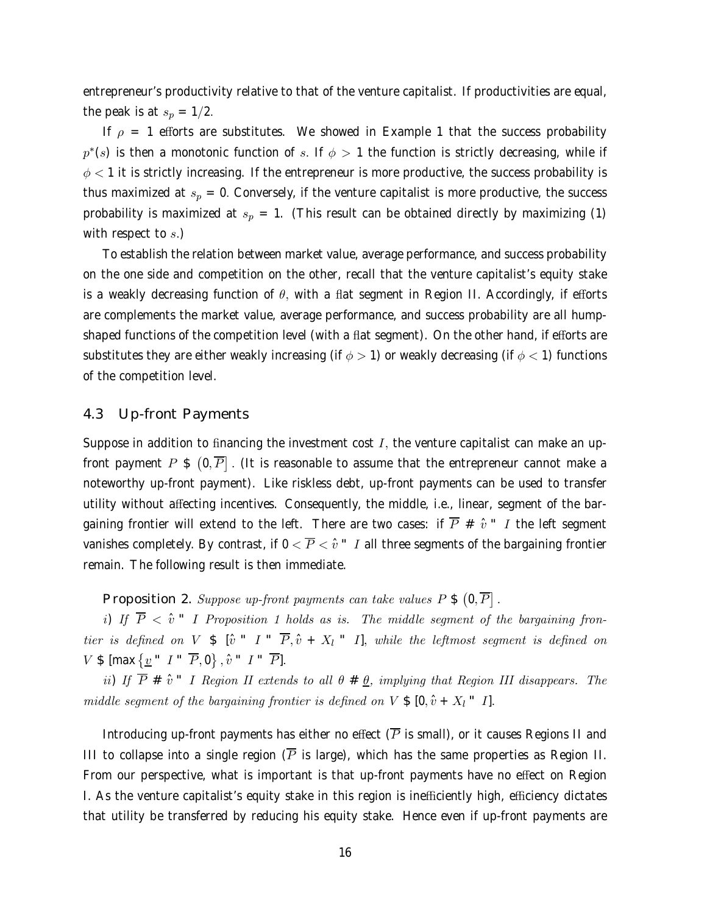entrepreneur's productivity relative to that of the venture capitalist. If productivities are equal, the peak is at  $s_p = 1/2$ .

If  $\rho = 1$  efforts are substitutes. We showed in Example 1 that the success probability  $p<sup>*</sup>(s)$  is then a monotonic function of s. If  $\phi > 1$  the function is strictly decreasing, while if  $\phi$  < 1 it is strictly increasing. If the entrepreneur is more productive, the success probability is thus maximized at  $s_p = 0$ . Conversely, if the venture capitalist is more productive, the success probability is maximized at  $s_p = 1$ . (This result can be obtained directly by maximizing (1) with respect to  $s$ .)

To establish the relation between market value, average performance, and success probability on the one side and competition on the other, recall that the venture capitalist's equity stake is a weakly decreasing function of  $\theta$ , with a flat segment in Region II. Accordingly, if efforts are complements the market value, average performance, and success probability are all humpshaped functions of the competition level (with a flat segment). On the other hand, if efforts are substitutes they are either weakly increasing (if  $\phi > 1$ ) or weakly decreasing (if  $\phi < 1$ ) functions of the competition level.

### 4.3 Up-front Payments

Suppose in addition to financing the investment cost  $I$ , the venture capitalist can make an upfront payment  $P$  \$  $(0,\overline{P}]$  . (It is reasonable to assume that the entrepreneur cannot make a noteworthy up-front payment). Like riskless debt, up-front payments can be used to transfer utility without affecting incentives. Consequently, the middle, i.e., linear, segment of the bargaining frontier will extend to the left. There are two cases: if  $\overline{P} \# \hat{v}$   $\degree$  I the left segment vanishes completely. By contrast, if  $0 < \overline{P} < \hat{v}$  " I all three segments of the bargaining frontier remain. The following result is then immediate.

Proposition 2. Suppose up-front payments can take values  $P \$   $(0,\overline{P}]$ .

i) If  $\overline{P}$  <  $\hat{v}$   $\degree$  I Proposition 1 holds as is. The middle segment of the bargaining frontier is defined on V  $\frac{1}{2}$  [ $\hat{v}$   $I$   $\frac{1}{2}$   $\frac{1}{2}$ ,  $\hat{v}$  +  $X_l$   $\frac{1}{2}$ ], while the leftmost segment is defined on  $V \$$  [max  $\{\underline{v} \text{ " } I \text{ " } \overline{P}, 0\}$ ,  $\hat{v} \text{ " } I \text{ " } \overline{P}$ ].

ii) If  $\overline{P}$  #  $\hat{v}$   $\degree$  I Region II extends to all  $\theta$  #  $\underline{\theta}$ , implying that Region III disappears. The middle segment of the bargaining frontier is defined on  $V \$  [0,  $\hat{v} + X_l$   $\degree$  I].

Introducing up-front payments has either no effect  $(\overline{P})$  is small), or it causes Regions II and III to collapse into a single region  $(\overline{P})$  is large), which has the same properties as Region II. From our perspective, what is important is that up-front payments have no effect on Region I. As the venture capitalist's equity stake in this region is inefficiently high, efficiency dictates that utility be transferred by reducing his equity stake. Hence even if up-front payments are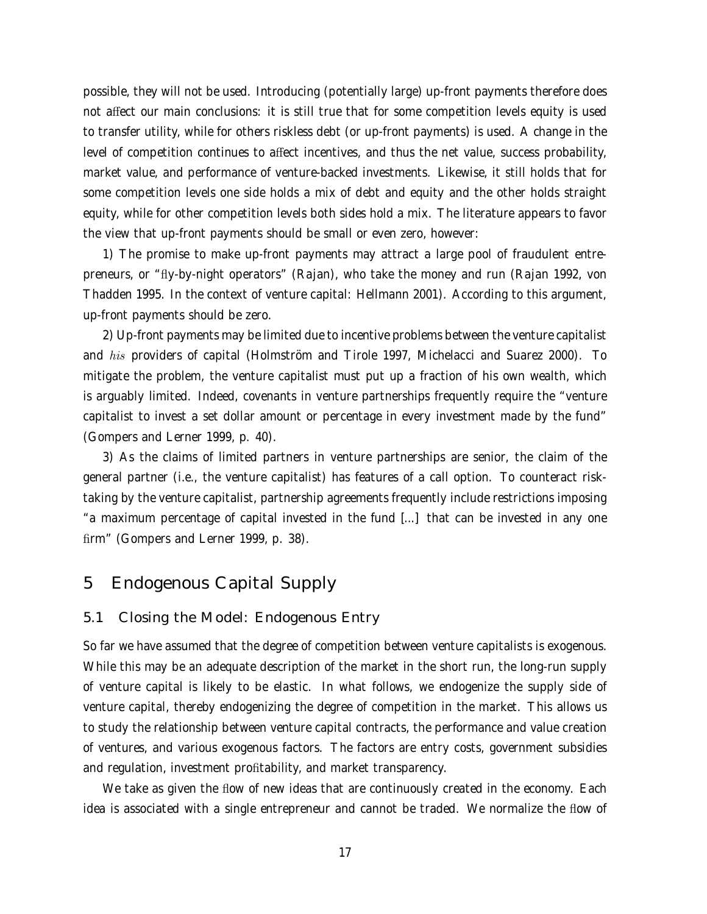possible, they will not be used. Introducing (potentially large) up-front payments therefore does not affect our main conclusions: it is still true that for some competition levels equity is used to transfer utility, while for others riskless debt (or up-front payments) is used. A change in the level of competition continues to affect incentives, and thus the net value, success probability, market value, and performance of venture-backed investments. Likewise, it still holds that for some competition levels one side holds a mix of debt and equity and the other holds straight equity, while for other competition levels both sides hold a mix. The literature appears to favor the view that up-front payments should be small or even zero, however:

1) The promise to make up-front payments may attract a large pool of fraudulent entrepreneurs, or "fly-by-night operators" (Rajan), who take the money and run (Rajan 1992, von Thadden 1995. In the context of venture capital: Hellmann 2001). According to this argument, up-front payments should be zero.

2) Up-front payments may be limited due to incentive problems between the venture capitalist and his providers of capital (Holmström and Tirole 1997, Michelacci and Suarez 2000). To mitigate the problem, the venture capitalist must put up a fraction of his own wealth, which is arguably limited. Indeed, covenants in venture partnerships frequently require the "venture capitalist to invest a set dollar amount or percentage in every investment made by the fund" (Gompers and Lerner 1999, p. 40).

3) As the claims of limited partners in venture partnerships are senior, the claim of the general partner (i.e., the venture capitalist) has features of a call option. To counteract risktaking by the venture capitalist, partnership agreements frequently include restrictions imposing "a maximum percentage of capital invested in the fund [...] that can be invested in any one firm" (Gompers and Lerner 1999, p. 38).

## 5 Endogenous Capital Supply

### 5.1 Closing the Model: Endogenous Entry

So far we have assumed that the degree of competition between venture capitalists is exogenous. While this may be an adequate description of the market in the short run, the long-run supply of venture capital is likely to be elastic. In what follows, we endogenize the supply side of venture capital, thereby endogenizing the degree of competition in the market. This allows us to study the relationship between venture capital contracts, the performance and value creation of ventures, and various exogenous factors. The factors are entry costs, government subsidies and regulation, investment profitability, and market transparency.

We take as given the flow of new ideas that are continuously created in the economy. Each idea is associated with a single entrepreneur and cannot be traded. We normalize the flow of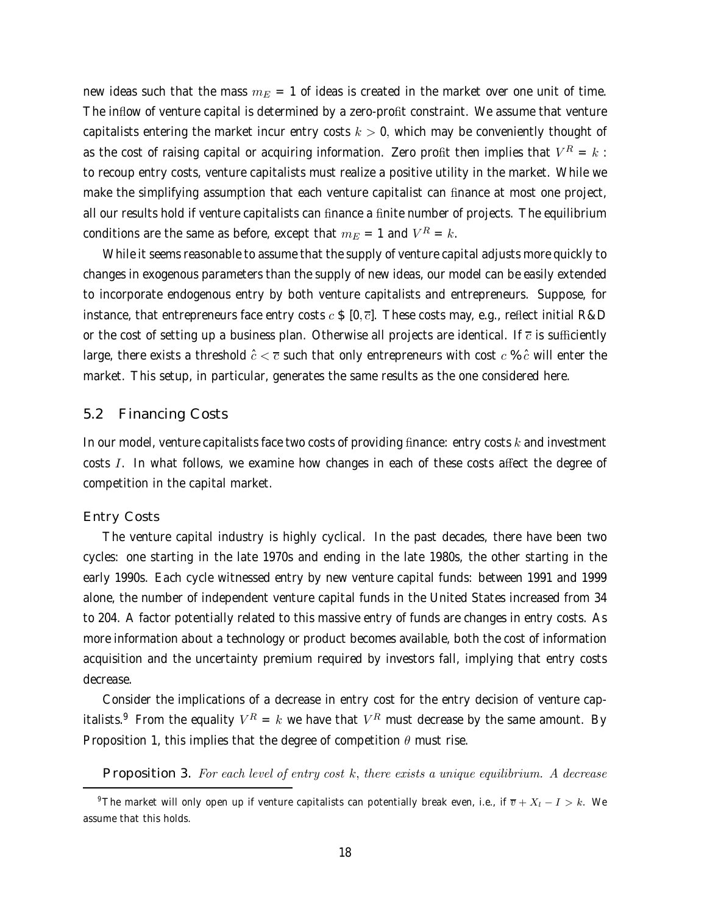new ideas such that the mass  $m_E = 1$  of ideas is created in the market over one unit of time. The inflow of venture capital is determined by a zero-profit constraint. We assume that venture capitalists entering the market incur entry costs  $k > 0$ , which may be conveniently thought of as the cost of raising capital or acquiring information. Zero profit then implies that  $V^R = k$ : to recoup entry costs, venture capitalists must realize a positive utility in the market. While we make the simplifying assumption that each venture capitalist can finance at most one project, all our results hold if venture capitalists can finance a finite number of projects. The equilibrium conditions are the same as before, except that  $m_E = 1$  and  $V^R = k$ .

While it seems reasonable to assume that the supply of venture capital adjusts more quickly to changes in exogenous parameters than the supply of new ideas, our model can be easily extended to incorporate endogenous entry by both venture capitalists and entrepreneurs. Suppose, for instance, that entrepreneurs face entry costs  $c \, \pounds [0, \overline{c}]$ . These costs may, e.g., reflect initial R&D or the cost of setting up a business plan. Otherwise all projects are identical. If  $\bar{c}$  is sufficiently large, there exists a threshold  $\hat{c} < \overline{c}$  such that only entrepreneurs with cost  $c$  %  $\hat{c}$  will enter the market. This setup, in particular, generates the same results as the one considered here.

### 5.2 Financing Costs

In our model, venture capitalists face two costs of providing finance: entry costs  $k$  and investment costs I. In what follows, we examine how changes in each of these costs affect the degree of competition in the capital market.

#### Entry Costs

The venture capital industry is highly cyclical. In the past decades, there have been two cycles: one starting in the late 1970s and ending in the late 1980s, the other starting in the early 1990s. Each cycle witnessed entry by new venture capital funds: between 1991 and 1999 alone, the number of independent venture capital funds in the United States increased from 34 to 204. A factor potentially related to this massive entry of funds are changes in entry costs. As more information about a technology or product becomes available, both the cost of information acquisition and the uncertainty premium required by investors fall, implying that entry costs decrease.

Consider the implications of a decrease in entry cost for the entry decision of venture capitalists.<sup>9</sup> From the equality  $V^R = k$  we have that  $V^R$  must decrease by the same amount. By Proposition 1, this implies that the degree of competition  $\theta$  must rise.

Proposition 3. For each level of entry cost  $k$ , there exists a unique equilibrium. A decrease

<sup>&</sup>lt;sup>9</sup>The market will only open up if venture capitalists can potentially break even, i.e., if  $\overline{v} + X_l - I > k$ . We assume that this holds.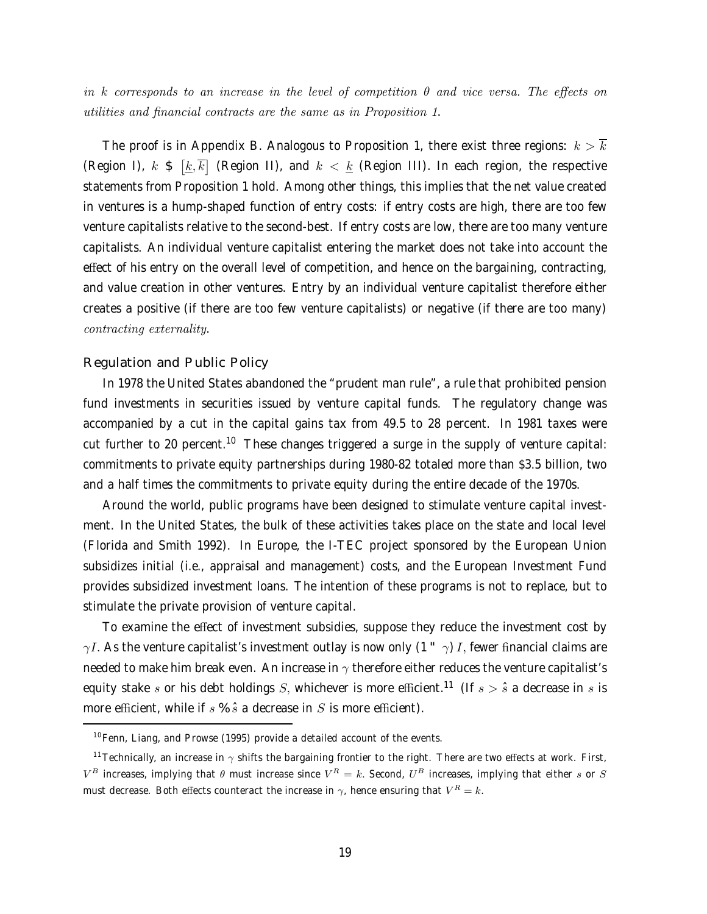in k corresponds to an increase in the level of competition  $\theta$  and vice versa. The effects on utilities and financial contracts are the same as in Proposition 1.

The proof is in Appendix B. Analogous to Proposition 1, there exist three regions:  $k > \overline{k}$ (Region I),  $k \in [\underline{k}, \overline{k}]$  (Region II), and  $k < \underline{k}$  (Region III). In each region, the respective statements from Proposition 1 hold. Among other things, this implies that the net value created in ventures is a hump-shaped function of entry costs: if entry costs are high, there are too few venture capitalists relative to the second-best. If entry costs are low, there are too many venture capitalists. An individual venture capitalist entering the market does not take into account the effect of his entry on the overall level of competition, and hence on the bargaining, contracting, and value creation in other ventures. Entry by an individual venture capitalist therefore either creates a positive (if there are too few venture capitalists) or negative (if there are too many) contracting externality.

### Regulation and Public Policy

In 1978 the United States abandoned the "prudent man rule", a rule that prohibited pension fund investments in securities issued by venture capital funds. The regulatory change was accompanied by a cut in the capital gains tax from 49.5 to 28 percent. In 1981 taxes were cut further to 20 percent.<sup>10</sup> These changes triggered a surge in the supply of venture capital: commitments to private equity partnerships during 1980-82 totaled more than \$3.5 billion, two and a half times the commitments to private equity during the entire decade of the 1970s.

Around the world, public programs have been designed to stimulate venture capital investment. In the United States, the bulk of these activities takes place on the state and local level (Florida and Smith 1992). In Europe, the I-TEC project sponsored by the European Union subsidizes initial (i.e., appraisal and management) costs, and the European Investment Fund provides subsidized investment loans. The intention of these programs is not to replace, but to stimulate the private provision of venture capital.

To examine the effect of investment subsidies, suppose they reduce the investment cost by  $\gamma I$ . As the venture capitalist's investment outlay is now only (1  $\gamma$ ) *I*, fewer financial claims are needed to make him break even. An increase in  $\gamma$  therefore either reduces the venture capitalist's equity stake s or his debt holdings S, whichever is more efficient.<sup>11</sup> (If  $s > \hat{s}$  a decrease in s is more efficient, while if  $s \mathcal{S} \hat{s}$  a decrease in  $S$  is more efficient).

 $10$  Fenn, Liang, and Prowse (1995) provide a detailed account of the events.

<sup>&</sup>lt;sup>11</sup> Technically, an increase in  $\gamma$  shifts the bargaining frontier to the right. There are two effects at work. First,  $V^B$  increases, implying that  $\theta$  must increase since  $V^R = k$ . Second,  $U^B$  increases, implying that either s or S must decrease. Both effects counteract the increase in  $\gamma$ , hence ensuring that  $V^R = k$ .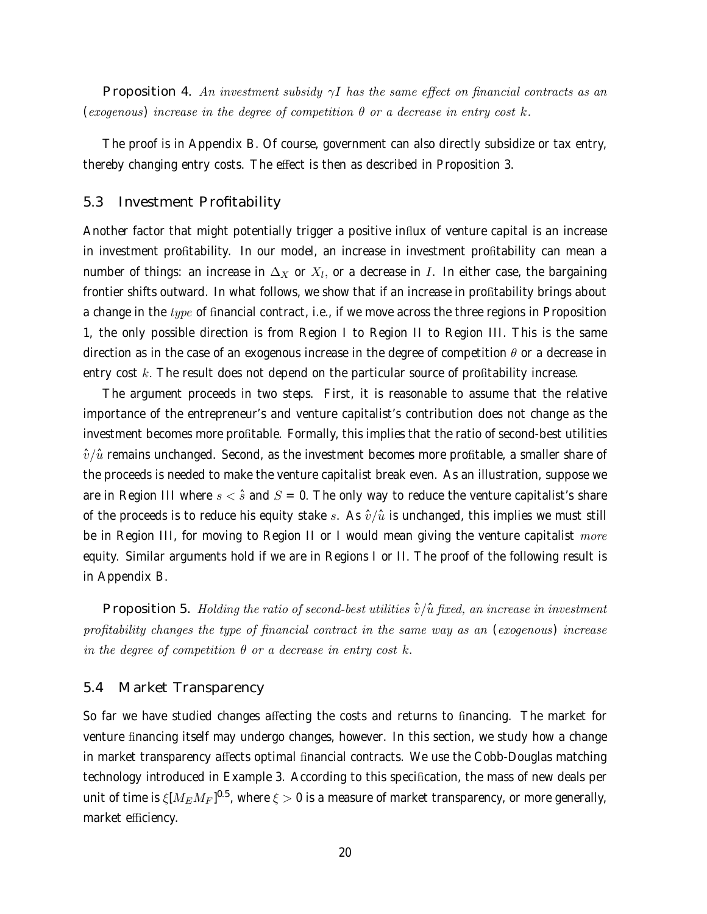Proposition 4. An investment subsidy  $\gamma I$  has the same effect on financial contracts as an (exogenous) increase in the degree of competition  $\theta$  or a decrease in entry cost k.

The proof is in Appendix B. Of course, government can also directly subsidize or tax entry, thereby changing entry costs. The effect is then as described in Proposition 3.

### 5.3 Investment Profitability

Another factor that might potentially trigger a positive influx of venture capital is an increase in investment profitability. In our model, an increase in investment profitability can mean a number of things: an increase in  $\Delta_X$  or  $X_l$ , or a decrease in I. In either case, the bargaining frontier shifts outward. In what follows, we show that if an increase in profitability brings about a change in the  $type$  of financial contract, i.e., if we move across the three regions in Proposition 1, the only possible direction is from Region I to Region II to Region III. This is the same direction as in the case of an exogenous increase in the degree of competition  $\theta$  or a decrease in entry cost  $k$ . The result does not depend on the particular source of profitability increase.

The argument proceeds in two steps. First, it is reasonable to assume that the relative importance of the entrepreneur's and venture capitalist's contribution does not change as the investment becomes more profitable. Formally, this implies that the ratio of second-best utilities  $\hat{v}/\hat{u}$  remains unchanged. Second, as the investment becomes more profitable, a smaller share of the proceeds is needed to make the venture capitalist break even. As an illustration, suppose we are in Region III where  $s < \hat{s}$  and  $S = 0$ . The only way to reduce the venture capitalist's share of the proceeds is to reduce his equity stake s. As  $\hat{v}/\hat{u}$  is unchanged, this implies we must still be in Region III, for moving to Region II or I would mean giving the venture capitalist  $more$ equity. Similar arguments hold if we are in Regions I or II. The proof of the following result is in Appendix B.

Proposition 5. Holding the ratio of second-best utilities  $\hat{v}/\hat{u}$  fixed, an increase in investment profitability changes the type of financial contract in the same way as an (exogenous) increase in the degree of competition  $\theta$  or a decrease in entry cost k.

### 5.4 Market Transparency

So far we have studied changes affecting the costs and returns to financing. The market for venture financing itself may undergo changes, however. In this section, we study how a change in market transparency affects optimal financial contracts. We use the Cobb-Douglas matching technology introduced in Example 3. According to this specification, the mass of new deals per unit of time is  $\xi [M_E M_F]^{0.5}$ , where  $\xi > 0$  is a measure of market transparency, or more generally, market efficiency.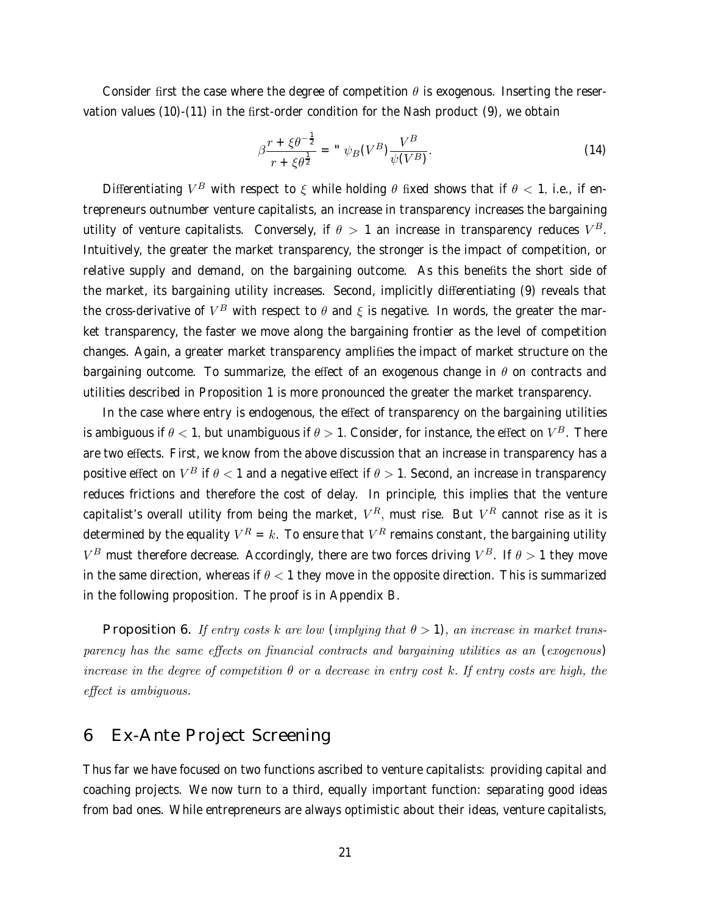Consider first the case where the degree of competition  $\theta$  is exogenous. Inserting the reservation values (10)-(11) in the first-order condition for the Nash product (9), we obtain

$$
\beta \frac{r + \xi \theta^{-\frac{1}{2}}}{r + \xi \theta^{\frac{1}{2}}} = " \psi_B(V^B) \frac{V^B}{\psi(V^B)}.
$$
\n(14)

Differentiating  $V^B$  with respect to  $\xi$  while holding  $\theta$  fixed shows that if  $\theta$  < 1, i.e., if entrepreneurs outnumber venture capitalists, an increase in transparency increases the bargaining utility of venture capitalists. Conversely, if  $\theta > 1$  an increase in transparency reduces  $V^B$ . Intuitively, the greater the market transparency, the stronger is the impact of competition, or relative supply and demand, on the bargaining outcome. As this benefits the short side of the market, its bargaining utility increases. Second, implicitly differentiating (9) reveals that the cross-derivative of  $V^B$  with respect to  $\theta$  and  $\xi$  is negative. In words, the greater the market transparency, the faster we move along the bargaining frontier as the level of competition changes. Again, a greater market transparency amplifies the impact of market structure on the bargaining outcome. To summarize, the effect of an exogenous change in  $\theta$  on contracts and utilities described in Proposition 1 is more pronounced the greater the market transparency.

In the case where entry is endogenous, the effect of transparency on the bargaining utilities is ambiguous if  $\theta$  < 1, but unambiguous if  $\theta > 1$ . Consider, for instance, the effect on  $V^B$ . There are two effects. First, we know from the above discussion that an increase in transparency has a positive effect on  $V^B$  if  $\theta < 1$  and a negative effect if  $\theta > 1$ . Second, an increase in transparency reduces frictions and therefore the cost of delay. In principle, this implies that the venture capitalist's overall utility from being the market,  $V^R$ , must rise. But  $V^R$  cannot rise as it is determined by the equality  $V^R = k$ . To ensure that  $V^R$  remains constant, the bargaining utility  $V^B$  must therefore decrease. Accordingly, there are two forces driving  $V^B$ . If  $\theta > 1$  they move in the same direction, whereas if  $\theta < 1$  they move in the opposite direction. This is summarized in the following proposition. The proof is in Appendix B.

**Proposition 6.** If entry costs k are low (implying that  $\theta > 1$ ), an increase in market transparency has the same effects on financial contracts and bargaining utilities as an (exogenous) increase in the degree of competition  $\theta$  or a decrease in entry cost k. If entry costs are high, the effect is ambiguous.

# 6 Ex-Ante Project Screening

Thus far we have focused on two functions ascribed to venture capitalists: providing capital and coaching projects. We now turn to a third, equally important function: separating good ideas from bad ones. While entrepreneurs are always optimistic about their ideas, venture capitalists,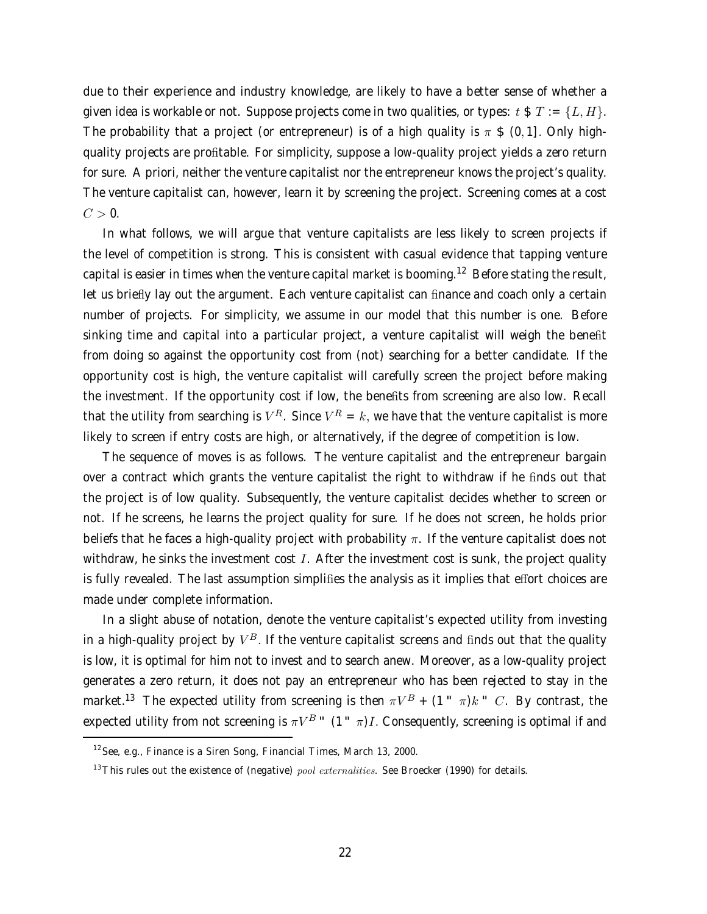due to their experience and industry knowledge, are likely to have a better sense of whether a given idea is workable or not. Suppose projects come in two qualities, or types:  $t \$ T := \{L, H\}$ . The probability that a project (or entrepreneur) is of a high quality is  $\pi$  \$ (0, 1]. Only highquality projects are profitable. For simplicity, suppose a low-quality project yields a zero return for sure. A priori, neither the venture capitalist nor the entrepreneur knows the project's quality. The venture capitalist can, however, learn it by screening the project. Screening comes at a cost  $C > 0$ .

In what follows, we will argue that venture capitalists are less likely to screen projects if the level of competition is strong. This is consistent with casual evidence that tapping venture capital is easier in times when the venture capital market is booming.<sup>12</sup> Before stating the result, let us briefly lay out the argument. Each venture capitalist can finance and coach only a certain number of projects. For simplicity, we assume in our model that this number is one. Before sinking time and capital into a particular project, a venture capitalist will weigh the benefit from doing so against the opportunity cost from (not) searching for a better candidate. If the opportunity cost is high, the venture capitalist will carefully screen the project before making the investment. If the opportunity cost if low, the benefits from screening are also low. Recall that the utility from searching is  $V^R$ . Since  $V^R = k$ , we have that the venture capitalist is more likely to screen if entry costs are high, or alternatively, if the degree of competition is low.

The sequence of moves is as follows. The venture capitalist and the entrepreneur bargain over a contract which grants the venture capitalist the right to withdraw if he finds out that the project is of low quality. Subsequently, the venture capitalist decides whether to screen or not. If he screens, he learns the project quality for sure. If he does not screen, he holds prior beliefs that he faces a high-quality project with probability  $\pi$ . If the venture capitalist does not withdraw, he sinks the investment cost  $I$ . After the investment cost is sunk, the project quality is fully revealed. The last assumption simplifies the analysis as it implies that effort choices are made under complete information.

In a slight abuse of notation, denote the venture capitalist's expected utility from investing in a high-quality project by  $V^B$ . If the venture capitalist screens and finds out that the quality is low, it is optimal for him not to invest and to search anew. Moreover, as a low-quality project generates a zero return, it does not pay an entrepreneur who has been rejected to stay in the market.<sup>13</sup> The expected utility from screening is then  $\pi V^B$  + (1  $\pi$ )k  $\pi$  C. By contrast, the expected utility from not screening is  $\pi V^B$  " (1  $\pi$ )*I*. Consequently, screening is optimal if and

 $12$  See, e.g., Finance is a Siren Song, Financial Times, March 13, 2000.

<sup>&</sup>lt;sup>13</sup>This rules out the existence of (negative) *pool externalities*. See Broecker (1990) for details.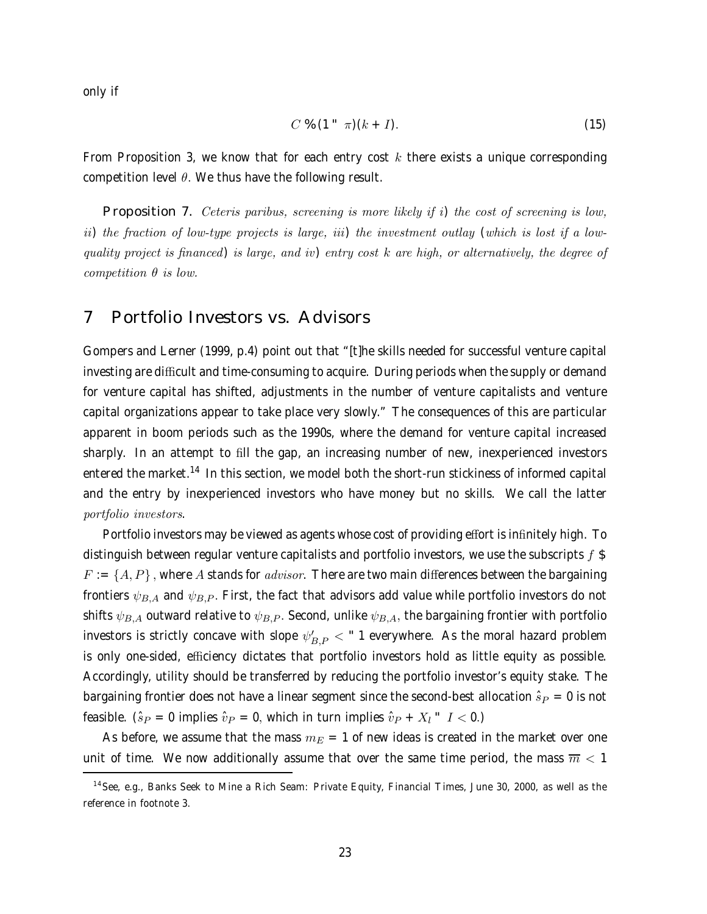only if

$$
C \mathcal{L} \left(1 \right) \pi \right) (k+I). \tag{15}
$$

From Proposition 3, we know that for each entry cost  $k$  there exists a unique corresponding competition level  $\theta$ . We thus have the following result.

Proposition 7. Ceteris paribus, screening is more likely if i) the cost of screening is low, ii) the fraction of low-type projects is large, iii) the investment outlay (which is lost if a lowquality project is financed) is large, and iv) entry cost k are high, or alternatively, the degree of competition  $\theta$  is low.

### 7 Portfolio Investors vs. Advisors

Gompers and Lerner (1999, p.4) point out that "[t]he skills needed for successful venture capital investing are difficult and time-consuming to acquire. During periods when the supply or demand for venture capital has shifted, adjustments in the number of venture capitalists and venture capital organizations appear to take place very slowly." The consequences of this are particular apparent in boom periods such as the 1990s, where the demand for venture capital increased sharply. In an attempt to fill the gap, an increasing number of new, inexperienced investors entered the market.<sup>14</sup> In this section, we model both the short-run stickiness of informed capital and the entry by inexperienced investors who have money but no skills. We call the latter portfolio investors.

Portfolio investors may be viewed as agents whose cost of providing effort is infinitely high. To distinguish between regular venture capitalists and portfolio investors, we use the subscripts  $f$  \$  $F := \{A, P\}$ , where A stands for *advisor*. There are two main differences between the bargaining frontiers  $\psi_{B,A}$  and  $\psi_{B,P}$ . First, the fact that advisors add value while portfolio investors do not shifts  $\psi_{B,A}$  outward relative to  $\psi_{B,P}$ . Second, unlike  $\psi_{B,A}$ , the bargaining frontier with portfolio investors is strictly concave with slope  $\psi_{B,P}' <$  " 1 everywhere. As the moral hazard problem is only one-sided, efficiency dictates that portfolio investors hold as little equity as possible. Accordingly, utility should be transferred by reducing the portfolio investor's equity stake. The bargaining frontier does not have a linear segment since the second-best allocation  $\hat{s}_P = 0$  is not feasible. ( $\hat{s}_P = 0$  implies  $\hat{v}_P = 0$ , which in turn implies  $\hat{v}_P + X_l$   $I < 0$ .)

As before, we assume that the mass  $m_E = 1$  of new ideas is created in the market over one unit of time. We now additionally assume that over the same time period, the mass  $\overline{m}$  < 1

<sup>&</sup>lt;sup>14</sup> See, e.g., Banks Seek to Mine a Rich Seam: Private Equity, Financial Times, June 30, 2000, as well as the reference in footnote 3.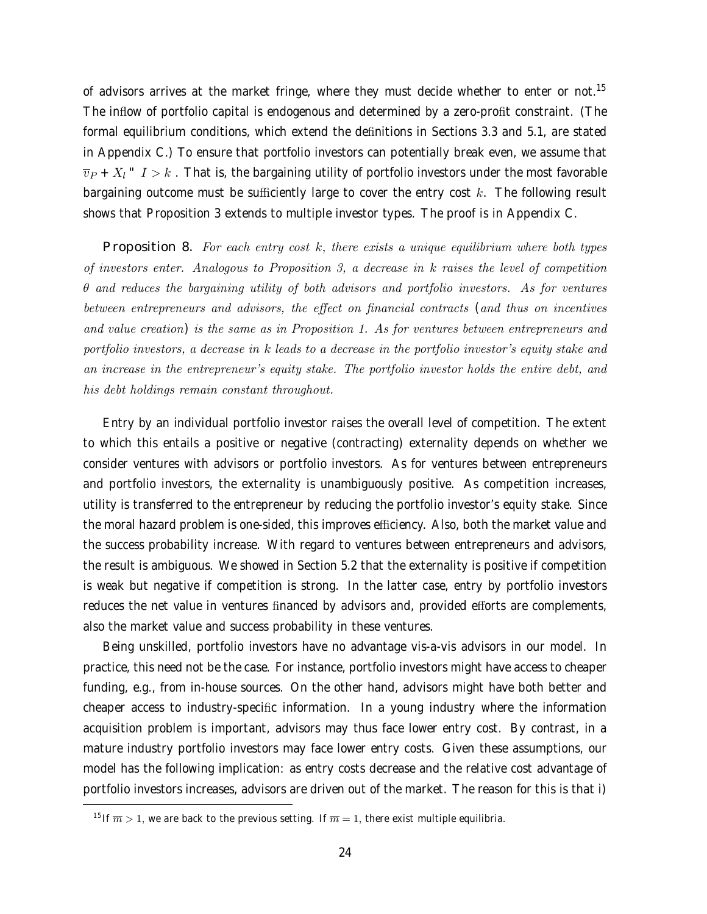of advisors arrives at the market fringe, where they must decide whether to enter or not.<sup>15</sup> The inflow of portfolio capital is endogenous and determined by a zero-profit constraint. (The formal equilibrium conditions, which extend the definitions in Sections 3.3 and 5.1, are stated in Appendix C.) To ensure that portfolio investors can potentially break even, we assume that  $\overline{v}_P + X_l$   $I > k$ . That is, the bargaining utility of portfolio investors under the most favorable bargaining outcome must be sufficiently large to cover the entry cost  $k$ . The following result shows that Proposition 3 extends to multiple investor types. The proof is in Appendix C.

Proposition 8. For each entry cost  $k$ , there exists a unique equilibrium where both types of investors enter. Analogous to Proposition 3, a decrease in k raises the level of competition  $\theta$  and reduces the bargaining utility of both advisors and portfolio investors. As for ventures between entrepreneurs and advisors, the effect on financial contracts (and thus on incentives and value creation) is the same as in Proposition 1. As for ventures between entrepreneurs and portfolio investors, a decrease in k leads to a decrease in the portfolio investor's equity stake and an increase in the entrepreneur's equity stake. The portfolio investor holds the entire debt, and his debt holdings remain constant throughout.

Entry by an individual portfolio investor raises the overall level of competition. The extent to which this entails a positive or negative (contracting) externality depends on whether we consider ventures with advisors or portfolio investors. As for ventures between entrepreneurs and portfolio investors, the externality is unambiguously positive. As competition increases, utility is transferred to the entrepreneur by reducing the portfolio investor's equity stake. Since the moral hazard problem is one-sided, this improves efficiency. Also, both the market value and the success probability increase. With regard to ventures between entrepreneurs and advisors, the result is ambiguous. We showed in Section 5.2 that the externality is positive if competition is weak but negative if competition is strong. In the latter case, entry by portfolio investors reduces the net value in ventures financed by advisors and, provided efforts are complements, also the market value and success probability in these ventures.

Being unskilled, portfolio investors have no advantage vis-a-vis advisors in our model. In practice, this need not be the case. For instance, portfolio investors might have access to cheaper funding, e.g., from in-house sources. On the other hand, advisors might have both better and cheaper access to industry-specific information. In a young industry where the information acquisition problem is important, advisors may thus face lower entry cost. By contrast, in a mature industry portfolio investors may face lower entry costs. Given these assumptions, our model has the following implication: as entry costs decrease and the relative cost advantage of portfolio investors increases, advisors are driven out of the market. The reason for this is that i)

<sup>&</sup>lt;sup>15</sup> If  $\overline{m} > 1$ , we are back to the previous setting. If  $\overline{m} = 1$ , there exist multiple equilibria.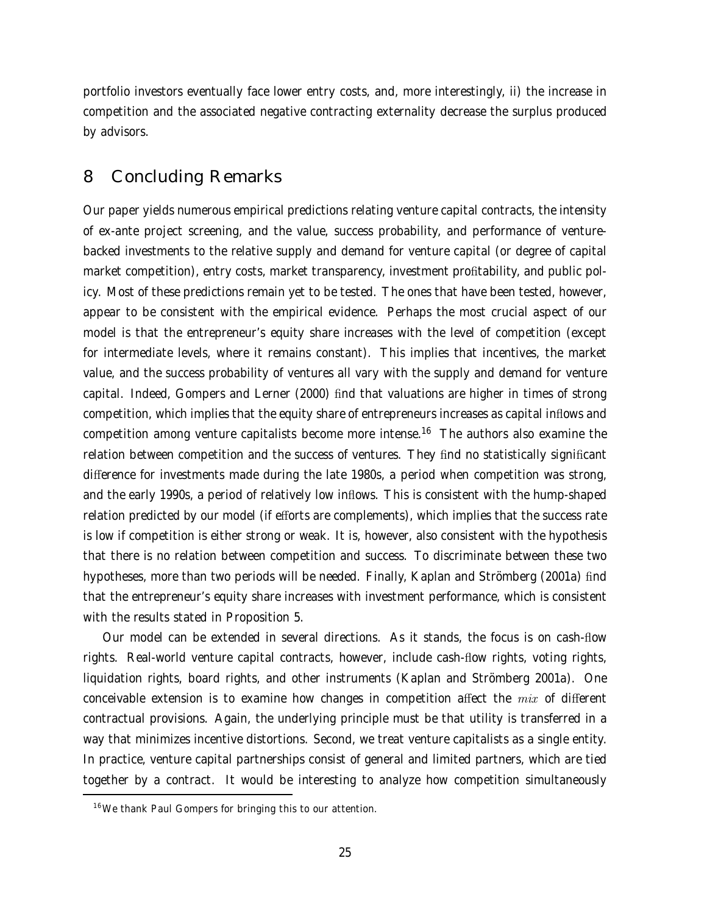portfolio investors eventually face lower entry costs, and, more interestingly, ii) the increase in competition and the associated negative contracting externality decrease the surplus produced by advisors.

# 8 Concluding Remarks

Our paper yields numerous empirical predictions relating venture capital contracts, the intensity of ex-ante project screening, and the value, success probability, and performance of venturebacked investments to the relative supply and demand for venture capital (or degree of capital market competition), entry costs, market transparency, investment profitability, and public policy. Most of these predictions remain yet to be tested. The ones that have been tested, however, appear to be consistent with the empirical evidence. Perhaps the most crucial aspect of our model is that the entrepreneur's equity share increases with the level of competition (except for intermediate levels, where it remains constant). This implies that incentives, the market value, and the success probability of ventures all vary with the supply and demand for venture capital. Indeed, Gompers and Lerner (2000) find that valuations are higher in times of strong competition, which implies that the equity share of entrepreneurs increases as capital inflows and competition among venture capitalists become more intense.<sup>16</sup> The authors also examine the relation between competition and the success of ventures. They find no statistically significant difference for investments made during the late 1980s, a period when competition was strong, and the early 1990s, a period of relatively low inflows. This is consistent with the hump-shaped relation predicted by our model (if efforts are complements), which implies that the success rate is low if competition is either strong or weak. It is, however, also consistent with the hypothesis that there is no relation between competition and success. To discriminate between these two hypotheses, more than two periods will be needed. Finally, Kaplan and Strömberg (2001a) find that the entrepreneur's equity share increases with investment performance, which is consistent with the results stated in Proposition 5.

Our model can be extended in several directions. As it stands, the focus is on cash-flow rights. Real-world venture capital contracts, however, include cash-flow rights, voting rights, liquidation rights, board rights, and other instruments (Kaplan and Strömberg 2001a). One conceivable extension is to examine how changes in competition affect the  $mix$  of different contractual provisions. Again, the underlying principle must be that utility is transferred in a way that minimizes incentive distortions. Second, we treat venture capitalists as a single entity. In practice, venture capital partnerships consist of general and limited partners, which are tied together by a contract. It would be interesting to analyze how competition simultaneously

<sup>&</sup>lt;sup>16</sup> We thank Paul Gompers for bringing this to our attention.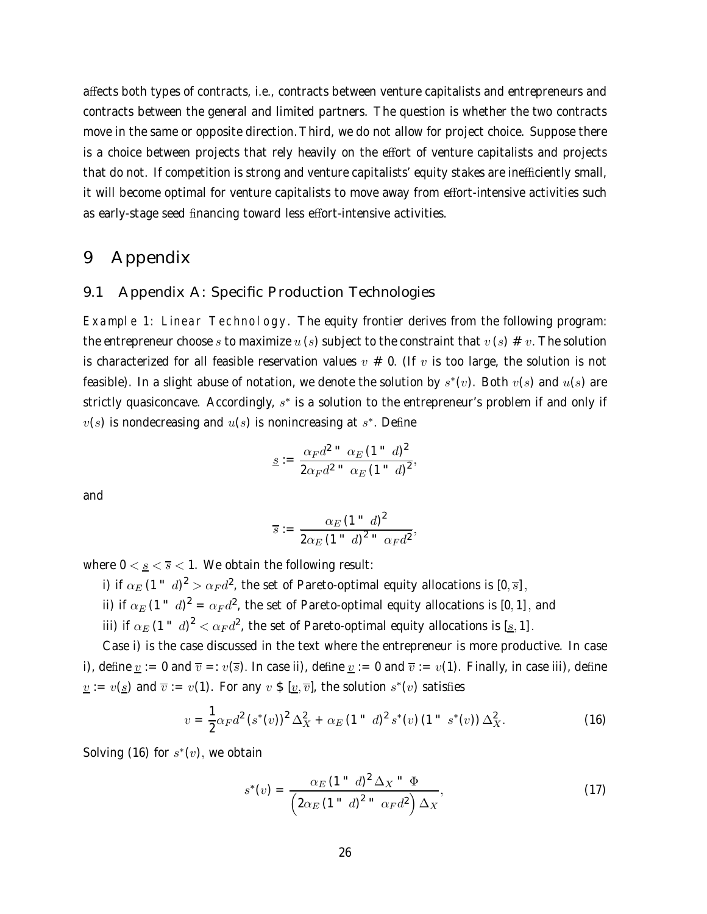affects both types of contracts, i.e., contracts between venture capitalists and entrepreneurs and contracts between the general and limited partners. The question is whether the two contracts move in the same or opposite direction. Third, we do not allow for project choice. Suppose there is a choice between projects that rely heavily on the effort of venture capitalists and projects that do not. If competition is strong and venture capitalists' equity stakes are inefficiently small, it will become optimal for venture capitalists to move away from effort-intensive activities such as early-stage seed financing toward less effort-intensive activities.

# 9 Appendix

### 9.1 Appendix A: Specific Production Technologies

Example 1: Linear Technology. The equity frontier derives from the following program: the entrepreneur choose s to maximize u (s) subject to the constraint that  $v(s) \neq v$ . The solution is characterized for all feasible reservation values  $v \neq 0$ . (If v is too large, the solution is not feasible). In a slight abuse of notation, we denote the solution by  $s^*(v)$ . Both  $v(s)$  and  $u(s)$  are strictly quasiconcave. Accordingly,  $s<sup>*</sup>$  is a solution to the entrepreneur's problem if and only if  $v(s)$  is nondecreasing and  $u(s)$  is nonincreasing at  $s^*$ . Define

$$
\underline{s} := \frac{\alpha_F d^{2} \cdot \alpha_E (1 - d)^2}{2\alpha_F d^{2} \cdot \alpha_E (1 - d)^2},
$$

and

$$
\overline{s}:=\frac{\alpha_E(1-\alpha)^2}{2\alpha_E(1-\alpha)^2-\alpha_Fd^2},
$$

where  $0 < \underline{s} < \overline{s} < 1$ . We obtain the following result:

i) if  $\alpha_E$  (1  $\degree$   $d)^2 > \alpha_F d^2$ , the set of Pareto-optimal equity allocations is  $[0, \overline{s}]$ ,

ii) if  $\alpha_E$  (1  $\alpha_B$   $d)^2 = \alpha_F d^2$ , the set of Pareto-optimal equity allocations is [0, 1], and

iii) if  $\alpha_E$  (1  $^{\circ}$   $d)^2 < \alpha_F d^2$ , the set of Pareto-optimal equity allocations is  $[\underline{s},1]$ .

Case i) is the case discussed in the text where the entrepreneur is more productive. In case i), define  $\underline{v} := 0$  and  $\overline{v} =: v(\overline{s})$ . In case ii), define  $\underline{v} := 0$  and  $\overline{v} := v(1)$ . Finally, in case iii), define  $v := v(s)$  and  $\overline{v} := v(1)$ . For any  $v \oint [v, \overline{v}]$ , the solution  $s^*(v)$  satisfies

$$
v = \frac{1}{2}\alpha_F d^2 (s^*(v))^2 \Delta_X^2 + \alpha_E (1 - d)^2 s^*(v) (1 - s^*(v)) \Delta_X^2.
$$
 (16)

Solving (16) for  $s^*(v)$ , we obtain

$$
s^*(v) = \frac{\alpha_E (1 - d)^2 \Delta_X - \Phi}{\left(2\alpha_E (1 - d)^2 - \alpha_F d^2\right) \Delta_X},\tag{17}
$$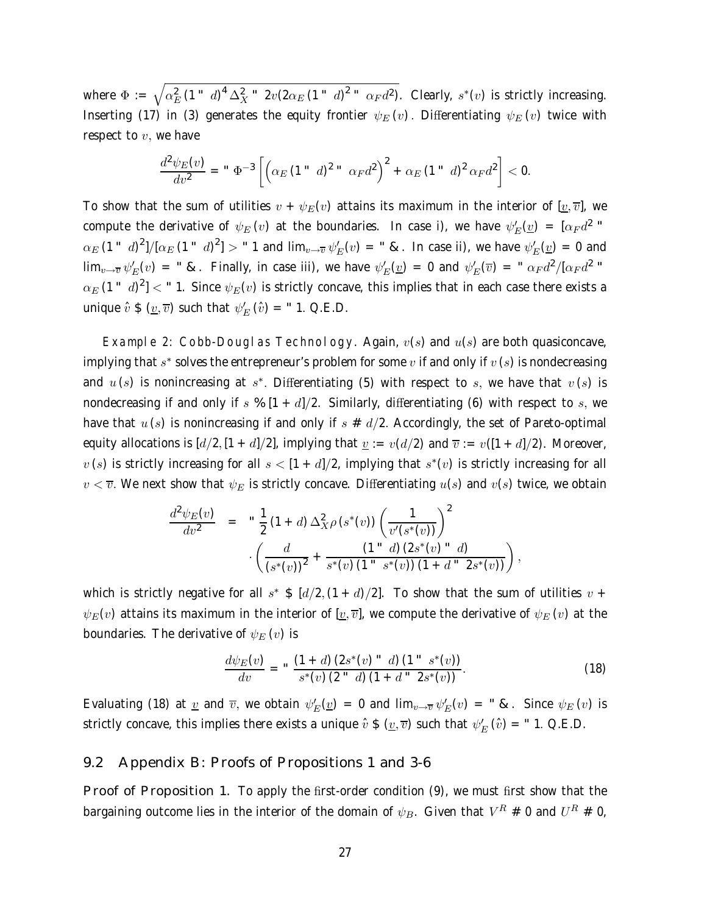where  $\Phi:=\sqrt{\alpha_E^2\,(1- d)^4\,\Delta_X^2-2v(2\alpha_E\,(1- d)^2- a_F d^2)}$ . Clearly,  $s^*(v)$  is strictly increasing. Inserting (17) in (3) generates the equity frontier  $\psi_E(v)$ . Differentiating  $\psi_E(v)$  twice with respect to  $v$ , we have

$$
\frac{d^2\psi_E(v)}{dv^2} = " \Phi^{-3}\left[ \left( \alpha_E \left( 1 " d \right)^2 " \alpha_F d^2 \right)^2 + \alpha_E \left( 1 " d \right)^2 \alpha_F d^2 \right] < 0.
$$

To show that the sum of utilities  $v + \psi_E(v)$  attains its maximum in the interior of  $[v, \overline{v}]$ , we compute the derivative of  $\psi_E\left(v\right)$  at the boundaries. In case i), we have  $\psi_E^\prime(\underline{v})~=~[\alpha_F d^2$  "  $\alpha_E$  (1  $^{\circ}$   $d)^2$ ]/ $[\alpha_E$  (1  $^{\circ}$   $d)^2$ ]  $>$   $^{\circ}$  1 and lim $_{v\to\overline{v}}$   $\psi_E'(v)$  =  $^{\circ}$  &. In case ii), we have  $\psi_E'(v)$  = 0 and  $\lim_{v\to\overline{v}}\psi_E'(v)$  = " &. Finally, in case iii), we have  $\psi_E'(v)$  = 0 and  $\psi_E'(\overline{v})$  = "  $\alpha_F d^2/[\alpha_F d^2$  "  $\alpha_E$  (1  $^{\circ}$   $d)^2$ ]  $<$   $^{\circ}$  1. Since  $\psi_E(v)$  is strictly concave, this implies that in each case there exists a unique  $\hat{v} \$   $(v, \overline{v})$  such that  $\psi_E'(\hat{v})$  = "1. Q.E.D.

Example 2: Cobb-Douglas Technology. Again,  $v(s)$  and  $u(s)$  are both quasiconcave, implying that s<sup>∗</sup> solves the entrepreneur's problem for some v if and only if  $v(s)$  is nondecreasing and  $u(s)$  is nonincreasing at s<sup>\*</sup>. Differentiating (5) with respect to s, we have that  $v(s)$  is nondecreasing if and only if s %  $[1 + d]/2$ . Similarly, differentiating (6) with respect to s, we have that  $u(s)$  is nonincreasing if and only if  $s \# d/2$ . Accordingly, the set of Pareto-optimal equity allocations is  $\left[\frac{d}{2}, [1+d]/2\right]$ , implying that  $\underline{v} := v\left(\frac{d}{2}\right)$  and  $\overline{v} := v\left(\frac{1+d}{2}\right)$ . Moreover,  $v(s)$  is strictly increasing for all  $s < [1 + d]/2$ , implying that  $s^*(v)$  is strictly increasing for all  $v < \overline{v}$ . We next show that  $\psi_E$  is strictly concave. Differentiating  $u(s)$  and  $v(s)$  twice, we obtain

$$
\frac{d^2\psi_E(v)}{dv^2} = \frac{1}{2} (1+d) \Delta_X^2 \rho(s^*(v)) \left(\frac{1}{v'(s^*(v))}\right)^2
$$

$$
\cdot \left(\frac{d}{(s^*(v))^2} + \frac{(1+d)(2s^*(v) - d)}{s^*(v)(1 - s^*(v)) (1 + d - 2s^*(v))}\right),
$$

which is strictly negative for all  $s^* \$ [d/2, (1+d)/2]$ . To show that the sum of utilities  $v +$  $\psi_E(v)$  attains its maximum in the interior of  $[\underline{v}, \overline{v}]$ , we compute the derivative of  $\psi_E(v)$  at the boundaries. The derivative of  $\psi_E(v)$  is

$$
\frac{d\psi_E(v)}{dv} = " \frac{(1+d) (2s^*(v) " d) (1 " s^*(v))}{s^*(v) (2 " d) (1 + d " 2s^*(v))}.
$$
\n(18)

Evaluating (18) at  $\underline{v}$  and  $\overline{v}$ , we obtain  $\psi_E'(v) = 0$  and  $\lim_{v\to\overline{v}} \psi_E'(v) = "$  &. Since  $\psi_E(v)$  is strictly concave, this implies there exists a unique  $\hat{v}$  \$  $(\underline{v},\overline{v})$  such that  $\psi_E' \left( \hat{v} \right)$  = " 1. Q.E.D.

### 9.2 Appendix B: Proofs of Propositions 1 and 3-6

Proof of Proposition 1. To apply the first-order condition (9), we must first show that the bargaining outcome lies in the interior of the domain of  $\psi_B$ . Given that  $V^R \neq 0$  and  $U^R \neq 0$ ,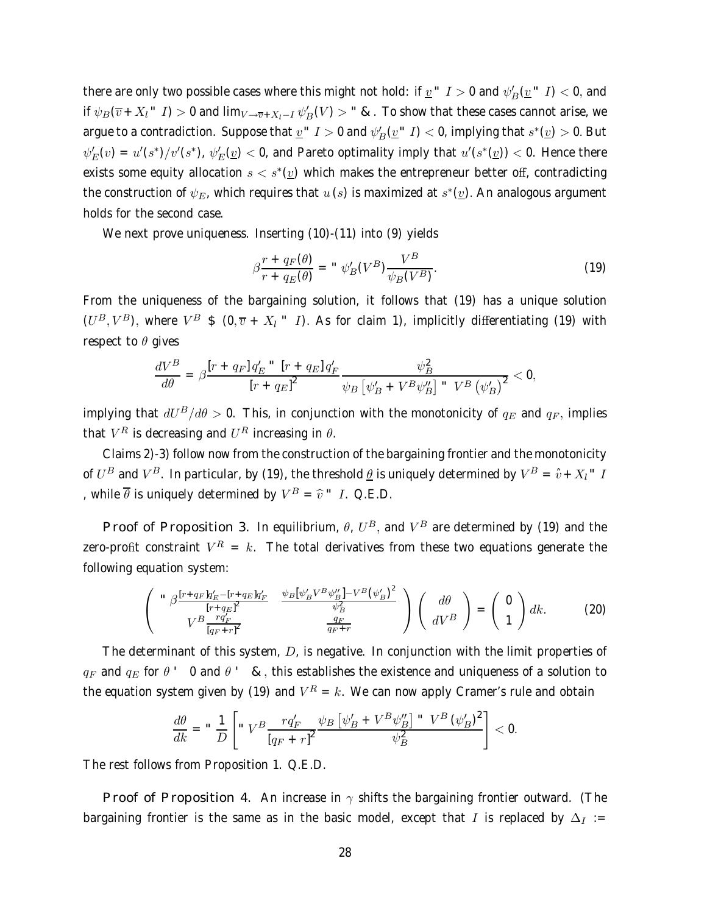there are only two possible cases where this might not hold: if  $\underline{v}$  "  $I>0$  and  $\psi_B'(\underline{v}$  "  $I) < 0,$  and if  $\psi_B(\overline{v}+X_l$   $\le I)>0$  and  $\lim_{V\to\overline{v}+X_l-I}\psi_B'(V)>$   $\le$   $\mathcal{R}$ . To show that these cases cannot arise, we argue to a contradiction. Suppose that  $\underline{v}^+$   $I>0$  and  $\psi_B'(\underline{v}^+|I)<$  0, implying that  $s^*(\underline{v})>$  0. But  $\psi_E'(v)=u'(s^*)/v'(s^*)$ ,  $\psi_E'(v)<$  0, and Pareto optimality imply that  $u'(s^*(v))<$  0. Hence there exists some equity allocation  $s < s<sup>*</sup>(v)$  which makes the entrepreneur better off, contradicting the construction of  $\psi_E$ , which requires that  $u(s)$  is maximized at  $s^*(v)$ . An analogous argument holds for the second case.

We next prove uniqueness. Inserting (10)-(11) into (9) yields

$$
\beta \frac{r + q_F(\theta)}{r + q_E(\theta)} = " \psi_B'(V^B) \frac{V^B}{\psi_B(V^B)}.
$$
\n(19)

From the uniqueness of the bargaining solution, it follows that (19) has a unique solution  $(U^B, V^B)$ , where  $V^B$  \$  $(0, \overline{v} + X_l - I)$ . As for claim 1), implicitly differentiating (19) with respect to  $\theta$  gives

$$
\frac{dV^B}{d\theta} = \beta \frac{\left[r + q_F\right]q_E^{\prime \text{`` } \left[r + q_E\right]q_F^{\prime}}}{\left[r + q_E\right]^2} \frac{\psi_B^2}{\psi_B \left[\psi_B^{\prime} + V^B \psi_B^{\prime \prime}\right]^{\text{'' } \left(V^B \left(\psi_B^{\prime}\right)\right)^2}} < 0,
$$

implying that  $dU^B/d\theta > 0$ . This, in conjunction with the monotonicity of  $q_E$  and  $q_F$ , implies that  $V^R$  is decreasing and  $U^R$  increasing in  $\theta$ .

Claims 2)-3) follow now from the construction of the bargaining frontier and the monotonicity of  $U^B$  and  $V^B$ . In particular, by (19), the threshold  $\underline{\theta}$  is uniquely determined by  $V^B = \hat{v} + X_l^T I$ , while  $\overline{\theta}$  is uniquely determined by  $V^B = \hat{v}$   $\dot{v}$   $I$ . Q.E.D.

Proof of Proposition 3. In equilibrium,  $\theta$ ,  $U^B$ , and  $V^B$  are determined by (19) and the zero-profit constraint  $V^R = k$ . The total derivatives from these two equations generate the following equation system:

$$
\begin{pmatrix}\n\int_{0}^{R} \frac{[r+q_{F}]q_{E}^{\prime} - [r+q_{E}]q_{F}^{\prime}}{[r+q_{E}]^{2}} & \frac{\psi_{B}[\psi_{B}^{\prime}V^{B}\psi_{B}^{\prime\prime}] - V^{B}(\psi_{B}^{\prime})^{2}}{\psi_{B}^{2}} \\
V^{B} \frac{rq_{F}^{\prime}}{[q_{F}+r]^{2}} & \frac{q_{F}}{q_{F}+r}\n\end{pmatrix}\n\begin{pmatrix}\nd\theta \\
dV^{B}\n\end{pmatrix} = \begin{pmatrix}\n0 \\
1\n\end{pmatrix} dk.
$$
\n(20)

The determinant of this system, D, is negative. In conjunction with the limit properties of  $q_F$  and  $q_E$  for  $\theta$   $\prime$  0 and  $\theta$   $\prime$  &, this establishes the existence and uniqueness of a solution to the equation system given by (19) and  $V^R = k$ . We can now apply Cramer's rule and obtain

$$
\frac{d\theta}{dk} = \sqrt{\frac{1}{D} \left[ \sqrt{\frac{V^B T q'_F}{[q_F + r]^2}} \frac{\psi_B \left[ \psi'_B + V^B \psi''_B \right] \sqrt{\frac{V^B}{V^2}} \psi_B^2 \right]} \psi_B^2} < 0.
$$

The rest follows from Proposition 1. Q.E.D.

Proof of Proposition 4. An increase in  $\gamma$  shifts the bargaining frontier outward. (The bargaining frontier is the same as in the basic model, except that I is replaced by  $\Delta_I :=$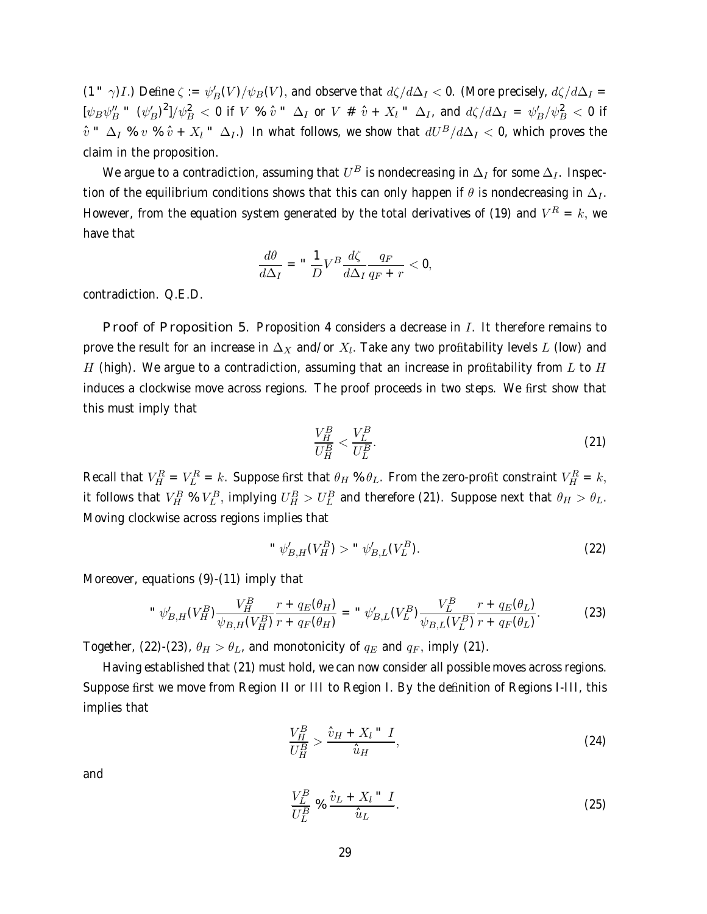(1  $\gamma$ )*I*.) Define  $\zeta := \psi_B'(V)/\psi_B(V)$ , and observe that  $d\zeta/d\Delta_I < 0$ . (More precisely,  $d\zeta/d\Delta_I = 0$  $[\psi_B\psi''_B$  "  $(\psi'_B)^2]/\psi_B^2$   $<$  0 if  $V$  %  $\hat{v}$  "  $\Delta_I$  or  $V$  #  $\hat{v}$  +  $X_l$  "  $\Delta_I$ , and  $d\zeta/d\Delta_I$  =  $\psi'_B/\psi_B^2$   $<$  0 if  $\hat{v}$   $\Delta_I$  %  $v$  %  $\hat{v}$  +  $X_l$   $\Delta_I$ .) In what follows, we show that  $dU^B/d\Delta_I$  < 0, which proves the claim in the proposition.

We argue to a contradiction, assuming that  $U^B$  is nondecreasing in  $\Delta_I$  for some  $\Delta_I$ . Inspection of the equilibrium conditions shows that this can only happen if  $\theta$  is nondecreasing in  $\Delta_I$ . However, from the equation system generated by the total derivatives of (19) and  $V^R = k$ , we have that

$$
\frac{d\theta}{d\Delta_I} = "\frac{1}{D}V^B\frac{d\zeta}{d\Delta_I}\frac{q_F}{q_F+r} < 0,
$$

contradiction. Q.E.D.

Proof of Proposition 5. Proposition 4 considers a decrease in  $I$ . It therefore remains to prove the result for an increase in  $\Delta_X$  and/or  $X_l$ . Take any two profitability levels L (low) and H (high). We argue to a contradiction, assuming that an increase in profitability from  $L$  to  $H$ induces a clockwise move across regions. The proof proceeds in two steps. We first show that this must imply that

$$
\frac{V_H^B}{U_H^B} < \frac{V_L^B}{U_L^B}.\tag{21}
$$

Recall that  $V_H^R = V_L^R = k$ . Suppose first that  $\theta_H \otimes \theta_L$ . From the zero-profit constraint  $V_H^R = k$ , it follows that  $V_H^B \% V_L^B$ , implying  $U_H^B > U_L^B$  and therefore (21). Suppose next that  $\theta_H > \theta_L$ . Moving clockwise across regions implies that

" 
$$
\psi'_{B,H}(V_H^B) > " \psi'_{B,L}(V_L^B)
$$
. (22)

Moreover, equations (9)-(11) imply that

" 
$$
\psi'_{B,H}(V_H^B) \frac{V_H^B}{\psi_{B,H}(V_H^B)} \frac{r + q_E(\theta_H)}{r + q_F(\theta_H)} = " \psi'_{B,L}(V_L^B) \frac{V_L^B}{\psi_{B,L}(V_L^B)} \frac{r + q_E(\theta_L)}{r + q_F(\theta_L)}.
$$
 (23)

Together, (22)-(23),  $\theta_H > \theta_L$ , and monotonicity of  $q_E$  and  $q_F$ , imply (21).

Having established that (21) must hold, we can now consider all possible moves across regions. Suppose first we move from Region II or III to Region I. By the definition of Regions I-III, this implies that

$$
\frac{V_H^B}{U_H^B} > \frac{\hat{v}_H + X_l \text{`` } I}{\hat{u}_H},\tag{24}
$$

and

$$
\frac{V_L^B}{U_L^B} \underset{\sim}{\otimes} \frac{\hat{v}_L + X_l \text{ " } I}{\hat{u}_L}.
$$
\n(25)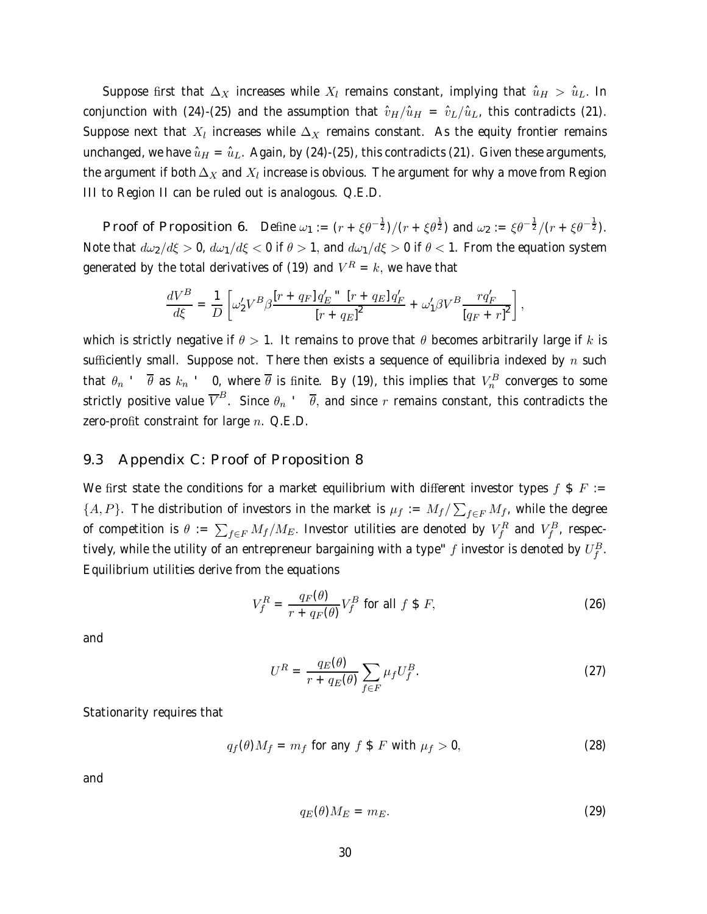Suppose first that  $\Delta_X$  increases while  $X_l$  remains constant, implying that  $\hat{u}_H > \hat{u}_L$ . In conjunction with (24)-(25) and the assumption that  $\hat{v}_H/\hat{u}_H = \hat{v}_L/\hat{u}_L$ , this contradicts (21). Suppose next that  $X_l$  increases while  $\Delta_X$  remains constant. As the equity frontier remains unchanged, we have  $\hat{u}_H = \hat{u}_L$ . Again, by (24)-(25), this contradicts (21). Given these arguments, the argument if both  $\Delta_X$  and  $X_l$  increase is obvious. The argument for why a move from Region III to Region II can be ruled out is analogous. Q.E.D.

Proof of Proposition 6. Define  $\omega_1 := (r + \xi \theta^{-\frac{1}{2}})/(r + \xi \theta^{\frac{1}{2}})$  and  $\omega_2 := \xi \theta^{-\frac{1}{2}}/(r + \xi \theta^{-\frac{1}{2}})$ . Note that  $d\omega_2/d\xi > 0$ ,  $d\omega_1/d\xi < 0$  if  $\theta > 1$ , and  $d\omega_1/d\xi > 0$  if  $\theta < 1$ . From the equation system generated by the total derivatives of (19) and  $V^R = k$ , we have that

$$
\frac{dV^B}{d\xi} = \frac{1}{D} \left[ \omega_2' V^B \beta \frac{\left[r + q_F\right] q_E^{\prime \prime \prime} \left[r + q_E\right] q_F^{\prime}}{\left[r + q_E\right]^2} + \omega_1' \beta V^B \frac{r q_F^{\prime}}{\left[q_F + r\right]^2} \right],
$$

which is strictly negative if  $\theta > 1$ . It remains to prove that  $\theta$  becomes arbitrarily large if k is sufficiently small. Suppose not. There then exists a sequence of equilibria indexed by n such that  $\theta_n$  ,  $\overline{\theta}$  as  $k_n$  ,  $\theta$ , where  $\overline{\theta}$  is finite. By (19), this implies that  $V^B_n$  converges to some strictly positive value  $\overline{V}^B$ . Since  $\theta_n$   $\cdot$   $\overline{\theta}$ , and since r remains constant, this contradicts the zero-profit constraint for large  $n$ . Q.E.D.

### 9.3 Appendix C: Proof of Proposition 8

We first state the conditions for a market equilibrium with different investor types f \$ F :=  $\{A, P\}$ . The distribution of investors in the market is  $\mu_f := M_f / \sum_{f \in F} M_f$ , while the degree of competition is  $\theta := \sum_{f \in F} M_f/M_E.$  Investor utilities are denoted by  $V^R_f$  and  $V^B_f$ , respectively, while the utility of an entrepreneur bargaining with a type"  $f$  investor is denoted by  $U_f^B.$ Equilibrium utilities derive from the equations

$$
V_f^R = \frac{q_F(\theta)}{r + q_F(\theta)} V_f^B \text{ for all } f \text{ } \text{\$ } F,
$$
 (26)

and

$$
U^R = \frac{q_E(\theta)}{r + q_E(\theta)} \sum_{f \in F} \mu_f U_f^B.
$$
 (27)

Stationarity requires that

$$
q_f(\theta)M_f = m_f \text{ for any } f \text{ $f$ with } \mu_f > 0,
$$
\n(28)

and

$$
q_E(\theta)M_E = m_E. \tag{29}
$$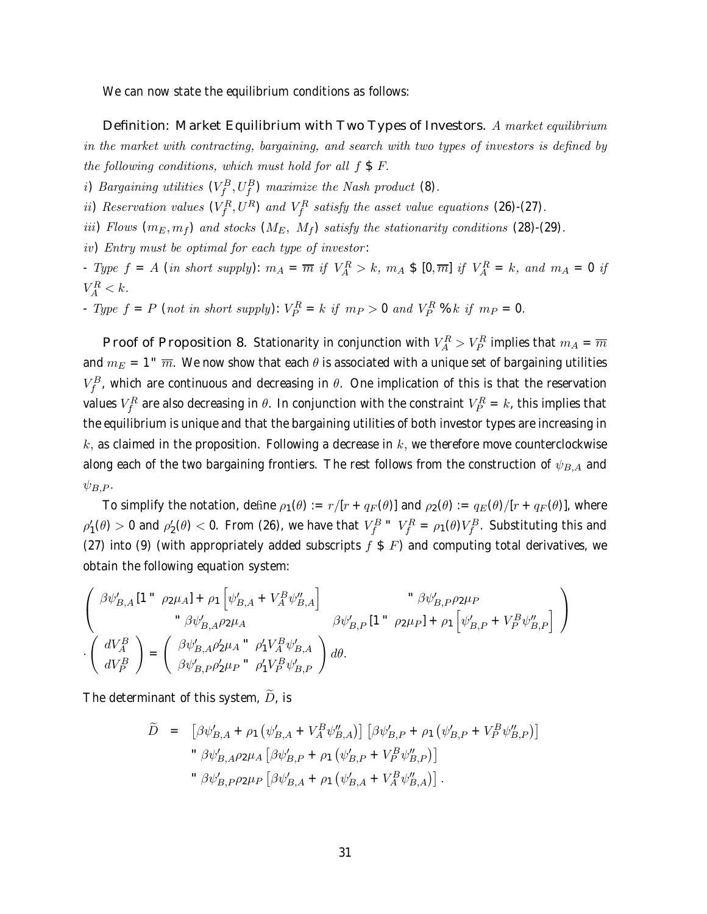We can now state the equilibrium conditions as follows:

Definition: Market Equilibrium with Two Types of Investors. A market equilibrium in the market with contracting, bargaining, and search with two types of investors is defined by the following conditions, which must hold for all  $f \$ F.

*i*) Bargaining utilities  $(V_f^B, U_f^B)$  maximize the Nash product (8).

ii) Reservation values  $(V_f^R, U^R)$  and  $V_f^R$  satisfy the asset value equations (26)-(27).

iii) Flows  $(m_E, m_f)$  and stocks  $(M_E, M_f)$  satisfy the stationarity conditions (28)-(29).

iv) Entry must be optimal for each type of investor :

- Type  $f = A$  (in short supply):  $m_A = \overline{m}$  if  $V_A^R > k$ ,  $m_A \$$  [0, $\overline{m}$ ] if  $V_A^R = k$ , and  $m_A = 0$  if  $V_A^R < k$ .

- Type  $f = P$  (not in short supply):  $V_P^R = k$  if  $m_P > 0$  and  $V_P^R$ % k if  $m_P = 0$ .

Proof of Proposition 8. Stationarity in conjunction with  $V^R_A > V^R_P$  implies that  $m_A = \overline{m}$ and  $m_E = 1$ <sup>"</sup>  $\overline{m}$ . We now show that each  $\theta$  is associated with a unique set of bargaining utilities  $V_f^B$ , which are continuous and decreasing in  $\theta$ . One implication of this is that the reservation values  $V_f^R$  are also decreasing in  $\theta.$  In conjunction with the constraint  $V_P^R=k$ , this implies that the equilibrium is unique and that the bargaining utilities of both investor types are increasing in  $k$ , as claimed in the proposition. Following a decrease in  $k$ , we therefore move counterclockwise along each of the two bargaining frontiers. The rest follows from the construction of  $\psi_{B,A}$  and  $\psi_{B,P}$ .

To simplify the notation, define  $\rho_1(\theta) := r/[r + q_F(\theta)]$  and  $\rho_2(\theta) := q_E(\theta)/[r + q_F(\theta)]$ , where  $\rho_1'(\theta) > 0$  and  $\rho_2'(\theta) < 0$ . From (26), we have that  $V_f^B$  "  $V_f^R = \rho_1(\theta) V_f^B$ . Substituting this and (27) into (9) (with appropriately added subscripts  $f \$  F) and computing total derivatives, we obtain the following equation system:

$$
\left(\begin{array}{cc} \beta\psi_{B,A}'\left[1\right.^{u} & \rho_{2}\mu_{A}\right] +\rho_{1}\left[\psi_{B,A}' +V_{A}^{B}\psi_{B,A}''\right] & \quad \quad \ddots \beta\psi_{B,P}'\rho_{2}\mu_{P} \\ & \quad \quad \ddots \beta\psi_{B,A}'\rho_{2}\mu_{A} & \quad \beta\psi_{B,P}'\left[1\right.^{u} & \rho_{2}\mu_{P}\right] +\rho_{1}\left[\psi_{B,P}' +V_{P}^{B}\psi_{B,P}''\right] \\ \cdot\left(\begin{array}{c}dV_{A}^{B}\\ dV_{P}^{B}\end{array}\right) =\left(\begin{array}{cc}\beta\psi_{B,A}'\rho_{2}'\mu_{A} & \rho_{1}'V_{A}^{B}\psi_{B,A}' \\ \beta\psi_{B,P}'\rho_{2}'\mu_{P} & \rho_{1}'V_{P}^{B}\psi_{B,P}'\end{array}\right)d\theta.
$$

The determinant of this system,  $\overline{D}$ , is

$$
\widetilde{D} = [\beta \psi'_{B,A} + \rho_1 (\psi'_{B,A} + V_A^B \psi''_{B,A})] [\beta \psi'_{B,P} + \rho_1 (\psi'_{B,P} + V_P^B \psi''_{B,P})]
$$
  
\n"  $\beta \psi'_{B,A} \rho_2 \mu_A [\beta \psi'_{B,P} + \rho_1 (\psi'_{B,P} + V_P^B \psi''_{B,P})]$   
\n"  $\beta \psi'_{B,P} \rho_2 \mu_P [\beta \psi'_{B,A} + \rho_1 (\psi'_{B,A} + V_A^B \psi''_{B,A})].$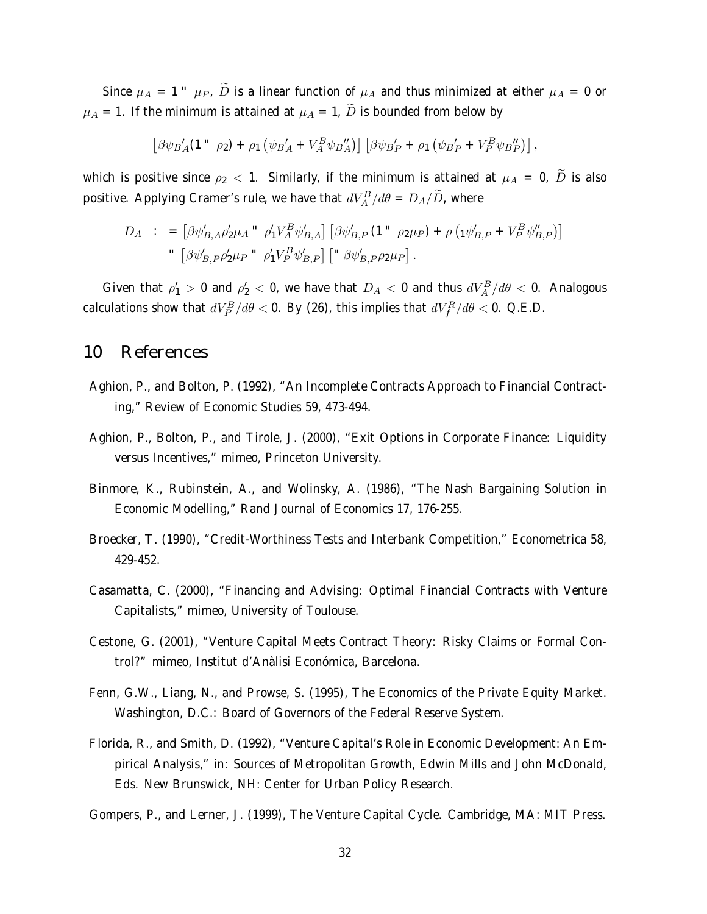Since  $\mu_A = 1$   $\mu_P$ ,  $\tilde{D}$  is a linear function of  $\mu_A$  and thus minimized at either  $\mu_A = 0$  or  $\mu_A = 1$ . If the minimum is attained at  $\mu_A = 1$ ,  $\widetilde{D}$  is bounded from below by

$$
\left[\beta\psi_{B}{}_{A}'(1\text{''}\rho_{2}) + \rho_{1}\left(\psi_{B}{}_{A}' + V_{A}^{B}\psi_{B}{}_{A}''\right)\right]\left[\beta\psi_{B}{}_{P}' + \rho_{1}\left(\psi_{B}{}_{P}' + V_{P}^{B}\psi_{B}{}_{P}''\right)\right],
$$

which is positive since  $\rho_2$  < 1. Similarly, if the minimum is attained at  $\mu_A = 0$ ,  $\tilde{D}$  is also positive. Applying Cramer's rule, we have that  $dV^B_A/d\theta = D_A/\widetilde{D}$ , where

$$
D_A : = [\beta \psi'_{B,A} \rho'_2 \mu_A " \rho'_1 V_A^B \psi'_{B,A}] [\beta \psi'_{B,P} (1" \rho_2 \mu_P) + \rho (\psi'_{B,P} + V_P^B \psi''_{B,P})]
$$
  
" 
$$
[\beta \psi'_{B,P} \rho'_2 \mu_P " \rho'_1 V_P^B \psi'_{B,P}] [" \beta \psi'_{B,P} \rho_2 \mu_P].
$$

Given that  $\rho_1' > 0$  and  $\rho_2' < 0$ , we have that  $D_A < 0$  and thus  $dV^B_A/d\theta < 0$ . Analogous calculations show that  $dV^B_P/d\theta <$  0. By (26), this implies that  $dV^R_f/d\theta <$  0. Q.E.D.

### 10 References

- Aghion, P., and Bolton, P. (1992), "An Incomplete Contracts Approach to Financial Contracting," Review of Economic Studies 59, 473-494.
- Aghion, P., Bolton, P., and Tirole, J. (2000), "Exit Options in Corporate Finance: Liquidity versus Incentives," mimeo, Princeton University.
- Binmore, K., Rubinstein, A., and Wolinsky, A. (1986), "The Nash Bargaining Solution in Economic Modelling," Rand Journal of Economics 17, 176-255.
- Broecker, T. (1990), "Credit-Worthiness Tests and Interbank Competition," Econometrica 58, 429-452.
- Casamatta, C. (2000), "Financing and Advising: Optimal Financial Contracts with Venture Capitalists," mimeo, University of Toulouse.
- Cestone, G. (2001), "Venture Capital Meets Contract Theory: Risky Claims or Formal Control?" mimeo, Institut d'Anàlisi Económica, Barcelona.
- Fenn, G.W., Liang, N., and Prowse, S. (1995), The Economics of the Private Equity Market. Washington, D.C.: Board of Governors of the Federal Reserve System.
- Florida, R., and Smith, D. (1992), "Venture Capital's Role in Economic Development: An Empirical Analysis," in: Sources of Metropolitan Growth, Edwin Mills and John McDonald, Eds. New Brunswick, NH: Center for Urban Policy Research.

Gompers, P., and Lerner, J. (1999), The Venture Capital Cycle. Cambridge, MA: MIT Press.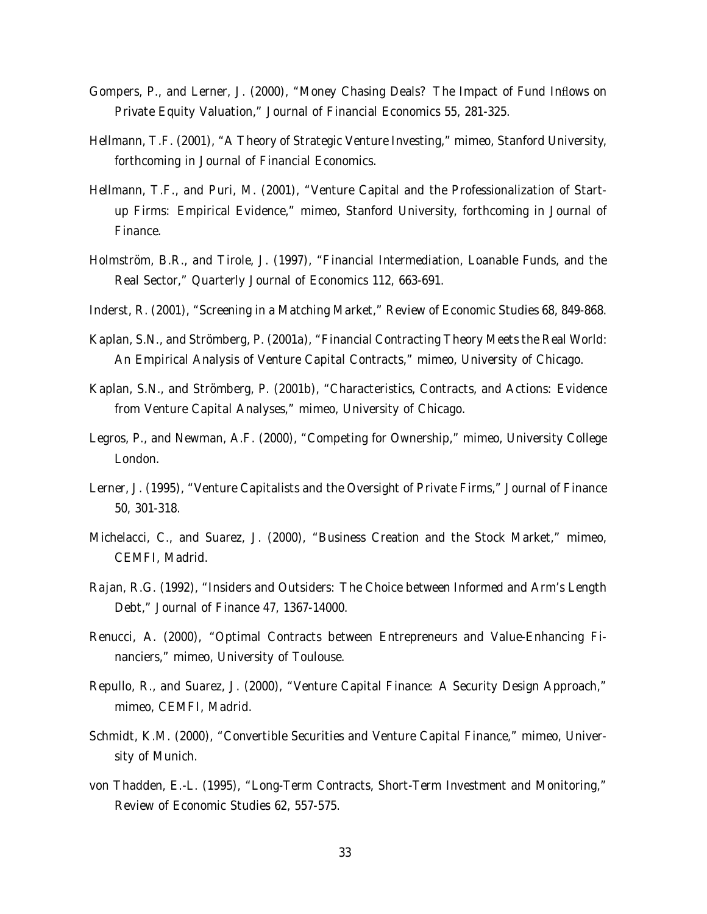- Gompers, P., and Lerner, J. (2000), "Money Chasing Deals? The Impact of Fund Inflows on Private Equity Valuation," Journal of Financial Economics 55, 281-325.
- Hellmann, T.F. (2001), "A Theory of Strategic Venture Investing," mimeo, Stanford University, forthcoming in Journal of Financial Economics.
- Hellmann, T.F., and Puri, M. (2001), "Venture Capital and the Professionalization of Startup Firms: Empirical Evidence," mimeo, Stanford University, forthcoming in Journal of Finance.
- Holmström, B.R., and Tirole, J. (1997), "Financial Intermediation, Loanable Funds, and the Real Sector," Quarterly Journal of Economics 112, 663-691.
- Inderst, R. (2001), "Screening in a Matching Market," Review of Economic Studies 68, 849-868.
- Kaplan, S.N., and Strömberg, P. (2001a), "Financial Contracting Theory Meets the Real World: An Empirical Analysis of Venture Capital Contracts," mimeo, University of Chicago.
- Kaplan, S.N., and Strömberg, P. (2001b), "Characteristics, Contracts, and Actions: Evidence from Venture Capital Analyses," mimeo, University of Chicago.
- Legros, P., and Newman, A.F. (2000), "Competing for Ownership," mimeo, University College London.
- Lerner, J. (1995), "Venture Capitalists and the Oversight of Private Firms," Journal of Finance 50, 301-318.
- Michelacci, C., and Suarez, J. (2000), "Business Creation and the Stock Market," mimeo, CEMFI, Madrid.
- Rajan, R.G. (1992), "Insiders and Outsiders: The Choice between Informed and Arm's Length Debt," Journal of Finance 47, 1367-14000.
- Renucci, A. (2000), "Optimal Contracts between Entrepreneurs and Value-Enhancing Financiers," mimeo, University of Toulouse.
- Repullo, R., and Suarez, J. (2000), "Venture Capital Finance: A Security Design Approach," mimeo, CEMFI, Madrid.
- Schmidt, K.M. (2000), "Convertible Securities and Venture Capital Finance," mimeo, University of Munich.
- von Thadden, E.-L. (1995), "Long-Term Contracts, Short-Term Investment and Monitoring," Review of Economic Studies 62, 557-575.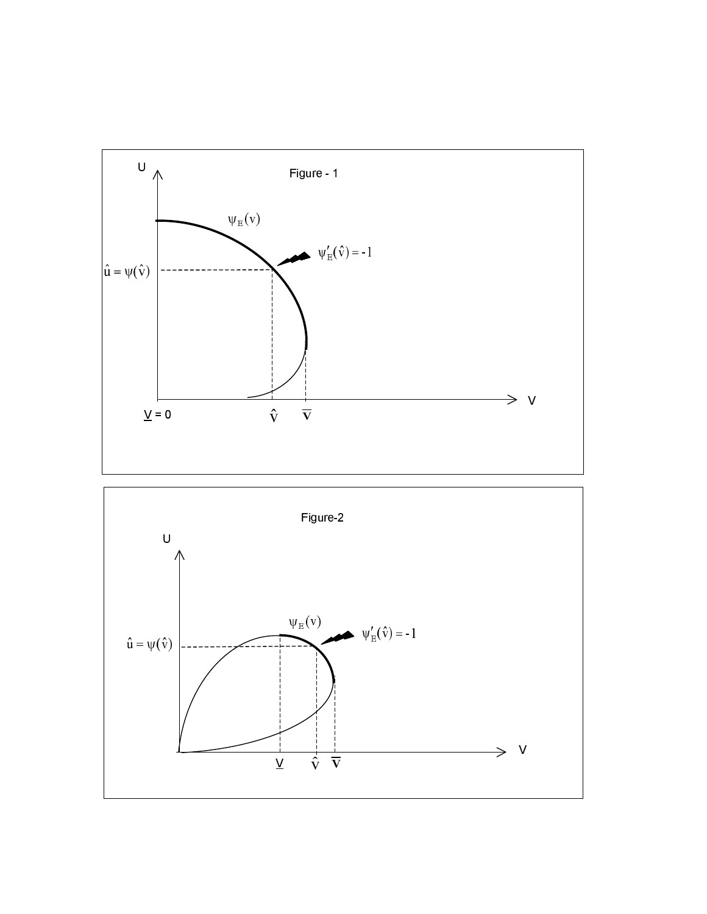